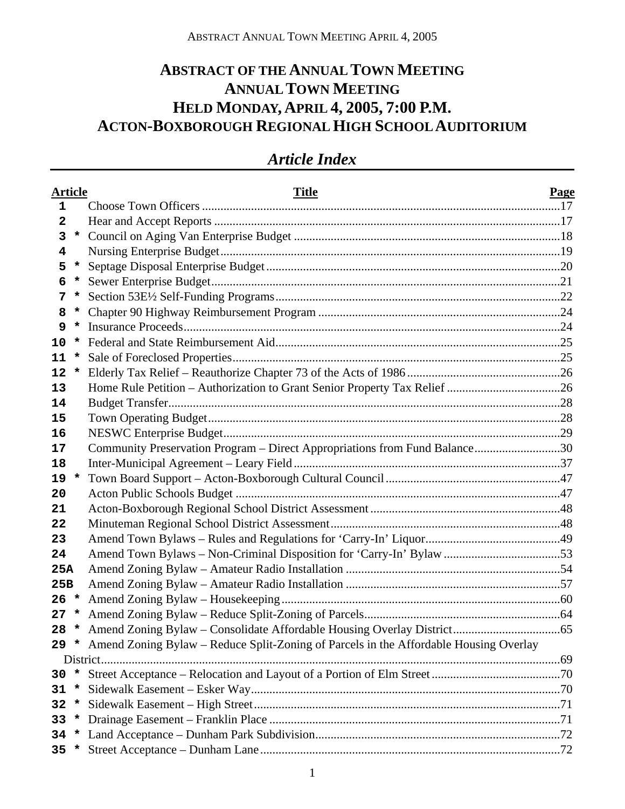# **ABSTRACT OF THE ANNUAL TOWN MEETING ANNUAL TOWN MEETING HELD MONDAY, APRIL 4, 2005, 7:00 P.M. ACTON-BOXBOROUGH REGIONAL HIGH SCHOOL AUDITORIUM**

| <b>Article</b>          |         | <b>Title</b>                                                                                           | <b>Page</b> |
|-------------------------|---------|--------------------------------------------------------------------------------------------------------|-------------|
| 1                       |         |                                                                                                        |             |
| $\overline{\mathbf{2}}$ |         |                                                                                                        |             |
| 3                       |         |                                                                                                        |             |
| 4                       |         |                                                                                                        |             |
| 5                       | *       |                                                                                                        |             |
| 6                       | *       |                                                                                                        |             |
| 7                       | *       |                                                                                                        |             |
| 8                       |         |                                                                                                        |             |
| 9                       | $\star$ |                                                                                                        |             |
| 10                      | $\star$ |                                                                                                        |             |
| 11                      | *       |                                                                                                        |             |
| 12                      | *       |                                                                                                        |             |
| 13                      |         |                                                                                                        |             |
| 14                      |         |                                                                                                        |             |
| 15                      |         |                                                                                                        |             |
| 16                      |         |                                                                                                        |             |
| 17                      |         | Community Preservation Program - Direct Appropriations from Fund Balance30                             |             |
| 18                      |         |                                                                                                        |             |
| 19                      | $\star$ |                                                                                                        |             |
| 20                      |         |                                                                                                        |             |
| 21                      |         |                                                                                                        |             |
| 22                      |         |                                                                                                        |             |
| 23                      |         |                                                                                                        |             |
| 24                      |         | Amend Town Bylaws - Non-Criminal Disposition for 'Carry-In' Bylaw 53                                   |             |
| 25A                     |         |                                                                                                        |             |
| 25B                     |         |                                                                                                        |             |
| 26                      | $\star$ |                                                                                                        |             |
| 27                      | *       |                                                                                                        |             |
| 28                      | $\star$ |                                                                                                        |             |
|                         |         | 29 * Amend Zoning Bylaw – Reduce Split-Zoning of Parcels in the Affordable Housing Overlay<br>District |             |
| 30                      |         |                                                                                                        |             |
| 31                      | $\star$ |                                                                                                        |             |
| 32                      | $\star$ |                                                                                                        |             |
| 33                      |         |                                                                                                        |             |
| 34                      |         |                                                                                                        |             |
|                         |         |                                                                                                        |             |

# *Article Index*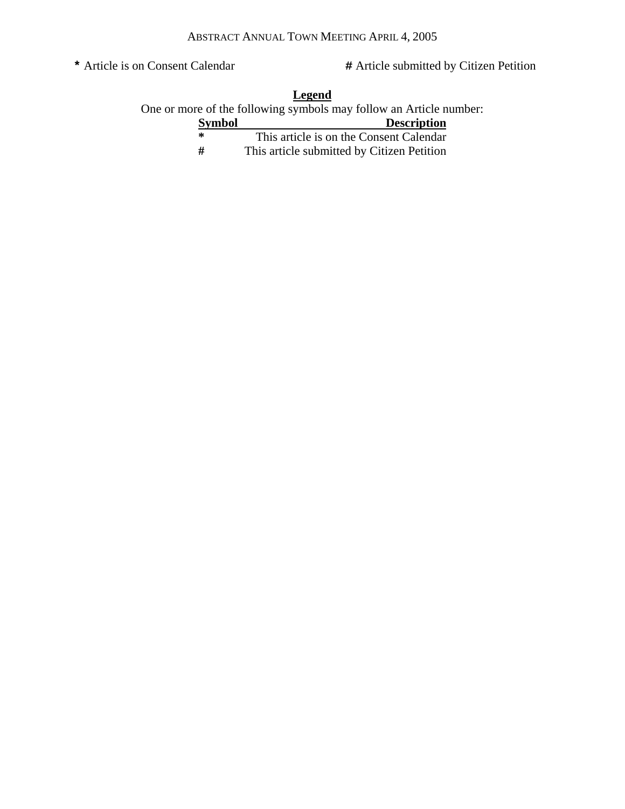**\*** Article is on Consent Calendar **#** Article submitted by Citizen Petition

| Legend<br>One or more of the following symbols may follow an Article number: |                                            |  |  |  |
|------------------------------------------------------------------------------|--------------------------------------------|--|--|--|
| <b>Symbol</b>                                                                | <b>Description</b>                         |  |  |  |
| ∗                                                                            | This article is on the Consent Calendar    |  |  |  |
| #                                                                            | This article submitted by Citizen Petition |  |  |  |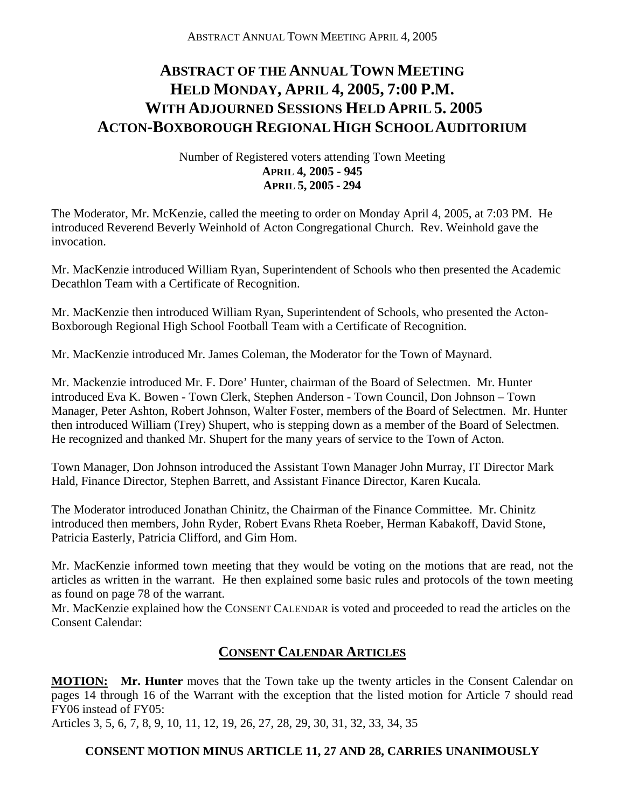# **ABSTRACT OF THE ANNUAL TOWN MEETING HELD MONDAY, APRIL 4, 2005, 7:00 P.M. WITH ADJOURNED SESSIONS HELD APRIL 5. 2005 ACTON-BOXBOROUGH REGIONAL HIGH SCHOOL AUDITORIUM**

# Number of Registered voters attending Town Meeting **APRIL 4, 2005 - 945 APRIL 5, 2005 - 294**

The Moderator, Mr. McKenzie, called the meeting to order on Monday April 4, 2005, at 7:03 PM. He introduced Reverend Beverly Weinhold of Acton Congregational Church. Rev. Weinhold gave the invocation.

Mr. MacKenzie introduced William Ryan, Superintendent of Schools who then presented the Academic Decathlon Team with a Certificate of Recognition.

Mr. MacKenzie then introduced William Ryan, Superintendent of Schools, who presented the Acton-Boxborough Regional High School Football Team with a Certificate of Recognition.

Mr. MacKenzie introduced Mr. James Coleman, the Moderator for the Town of Maynard.

Mr. Mackenzie introduced Mr. F. Dore' Hunter, chairman of the Board of Selectmen. Mr. Hunter introduced Eva K. Bowen - Town Clerk, Stephen Anderson - Town Council, Don Johnson – Town Manager, Peter Ashton, Robert Johnson, Walter Foster, members of the Board of Selectmen. Mr. Hunter then introduced William (Trey) Shupert, who is stepping down as a member of the Board of Selectmen. He recognized and thanked Mr. Shupert for the many years of service to the Town of Acton.

Town Manager, Don Johnson introduced the Assistant Town Manager John Murray, IT Director Mark Hald, Finance Director, Stephen Barrett, and Assistant Finance Director, Karen Kucala.

The Moderator introduced Jonathan Chinitz, the Chairman of the Finance Committee. Mr. Chinitz introduced then members, John Ryder, Robert Evans Rheta Roeber, Herman Kabakoff, David Stone, Patricia Easterly, Patricia Clifford, and Gim Hom.

Mr. MacKenzie informed town meeting that they would be voting on the motions that are read, not the articles as written in the warrant. He then explained some basic rules and protocols of the town meeting as found on page 78 of the warrant.

Mr. MacKenzie explained how the CONSENT CALENDAR is voted and proceeded to read the articles on the Consent Calendar:

# **CONSENT CALENDAR ARTICLES**

**MOTION: Mr. Hunter** moves that the Town take up the twenty articles in the Consent Calendar on pages 14 through 16 of the Warrant with the exception that the listed motion for Article 7 should read FY06 instead of FY05:

Articles 3, 5, 6, 7, 8, 9, 10, 11, 12, 19, 26, 27, 28, 29, 30, 31, 32, 33, 34, 35

# **CONSENT MOTION MINUS ARTICLE 11, 27 AND 28, CARRIES UNANIMOUSLY**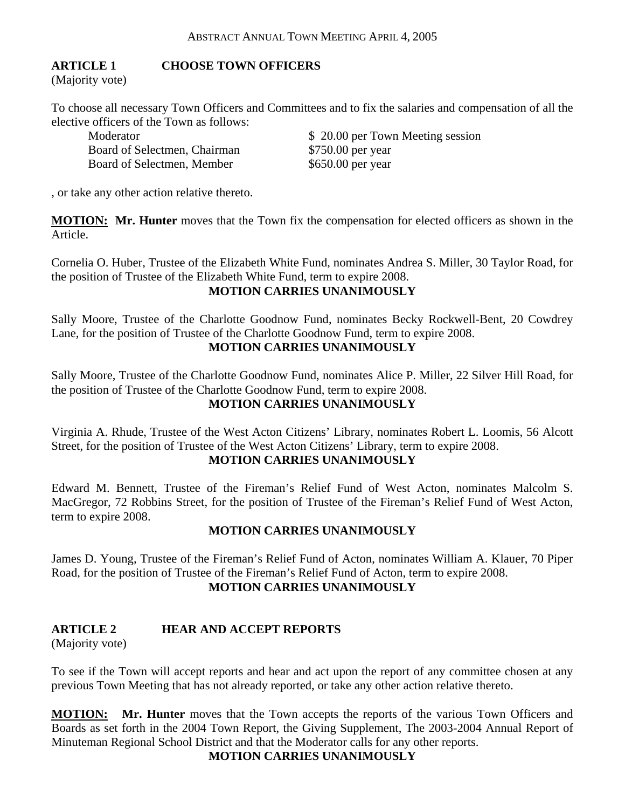# **ARTICLE 1 CHOOSE TOWN OFFICERS**

(Majority vote)

To choose all necessary Town Officers and Committees and to fix the salaries and compensation of all the elective officers of the Town as follows:

Board of Selectmen, Chairman \$750.00 per year Board of Selectmen, Member \$650.00 per year

Moderator  $$ 20.00$  per Town Meeting session

, or take any other action relative thereto.

**MOTION: Mr. Hunter** moves that the Town fix the compensation for elected officers as shown in the Article.

Cornelia O. Huber, Trustee of the Elizabeth White Fund, nominates Andrea S. Miller, 30 Taylor Road, for the position of Trustee of the Elizabeth White Fund, term to expire 2008.

# **MOTION CARRIES UNANIMOUSLY**

Sally Moore, Trustee of the Charlotte Goodnow Fund, nominates Becky Rockwell-Bent, 20 Cowdrey Lane, for the position of Trustee of the Charlotte Goodnow Fund, term to expire 2008. **MOTION CARRIES UNANIMOUSLY** 

Sally Moore, Trustee of the Charlotte Goodnow Fund, nominates Alice P. Miller, 22 Silver Hill Road, for the position of Trustee of the Charlotte Goodnow Fund, term to expire 2008. **MOTION CARRIES UNANIMOUSLY** 

Virginia A. Rhude, Trustee of the West Acton Citizens' Library, nominates Robert L. Loomis, 56 Alcott Street, for the position of Trustee of the West Acton Citizens' Library, term to expire 2008.

# **MOTION CARRIES UNANIMOUSLY**

Edward M. Bennett, Trustee of the Fireman's Relief Fund of West Acton, nominates Malcolm S. MacGregor, 72 Robbins Street, for the position of Trustee of the Fireman's Relief Fund of West Acton, term to expire 2008.

#### **MOTION CARRIES UNANIMOUSLY**

James D. Young, Trustee of the Fireman's Relief Fund of Acton, nominates William A. Klauer, 70 Piper Road, for the position of Trustee of the Fireman's Relief Fund of Acton, term to expire 2008. **MOTION CARRIES UNANIMOUSLY** 

# **ARTICLE 2 HEAR AND ACCEPT REPORTS**

(Majority vote)

To see if the Town will accept reports and hear and act upon the report of any committee chosen at any previous Town Meeting that has not already reported, or take any other action relative thereto.

**MOTION: Mr. Hunter** moves that the Town accepts the reports of the various Town Officers and Boards as set forth in the 2004 Town Report, the Giving Supplement, The 2003-2004 Annual Report of Minuteman Regional School District and that the Moderator calls for any other reports.

**MOTION CARRIES UNANIMOUSLY**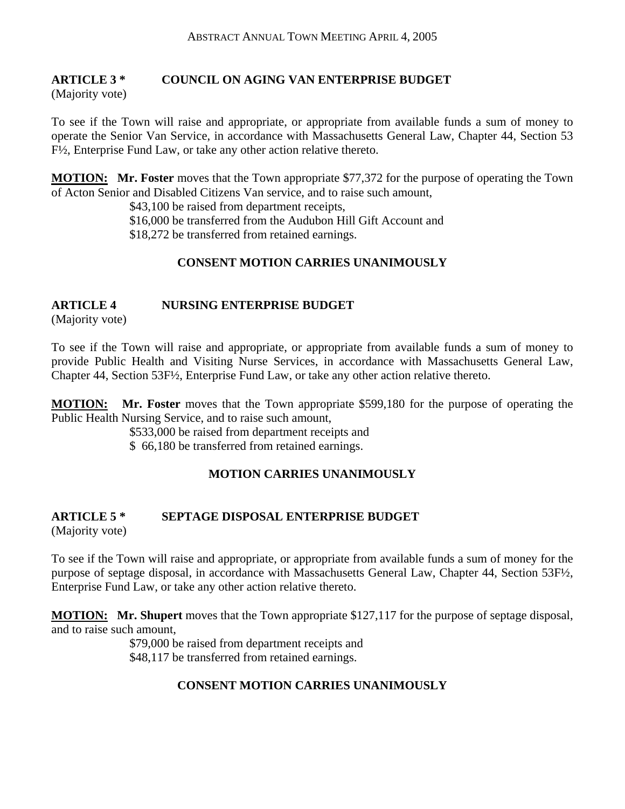# **ARTICLE 3 \* COUNCIL ON AGING VAN ENTERPRISE BUDGET**

(Majority vote)

To see if the Town will raise and appropriate, or appropriate from available funds a sum of money to operate the Senior Van Service, in accordance with Massachusetts General Law, Chapter 44, Section 53 F½, Enterprise Fund Law, or take any other action relative thereto.

**MOTION: Mr. Foster** moves that the Town appropriate \$77,372 for the purpose of operating the Town of Acton Senior and Disabled Citizens Van service, and to raise such amount,

\$43,100 be raised from department receipts,

\$16,000 be transferred from the Audubon Hill Gift Account and

\$18,272 be transferred from retained earnings.

# **CONSENT MOTION CARRIES UNANIMOUSLY**

# **ARTICLE 4 NURSING ENTERPRISE BUDGET**

(Majority vote)

To see if the Town will raise and appropriate, or appropriate from available funds a sum of money to provide Public Health and Visiting Nurse Services, in accordance with Massachusetts General Law, Chapter 44, Section 53F½, Enterprise Fund Law, or take any other action relative thereto.

**MOTION: Mr. Foster** moves that the Town appropriate \$599,180 for the purpose of operating the Public Health Nursing Service, and to raise such amount,

\$533,000 be raised from department receipts and

\$ 66,180 be transferred from retained earnings.

# **MOTION CARRIES UNANIMOUSLY**

# **ARTICLE 5 \* SEPTAGE DISPOSAL ENTERPRISE BUDGET**

(Majority vote)

To see if the Town will raise and appropriate, or appropriate from available funds a sum of money for the purpose of septage disposal, in accordance with Massachusetts General Law, Chapter 44, Section 53F½, Enterprise Fund Law, or take any other action relative thereto.

**MOTION: Mr. Shupert** moves that the Town appropriate \$127,117 for the purpose of septage disposal, and to raise such amount,

> \$79,000 be raised from department receipts and \$48,117 be transferred from retained earnings.

# **CONSENT MOTION CARRIES UNANIMOUSLY**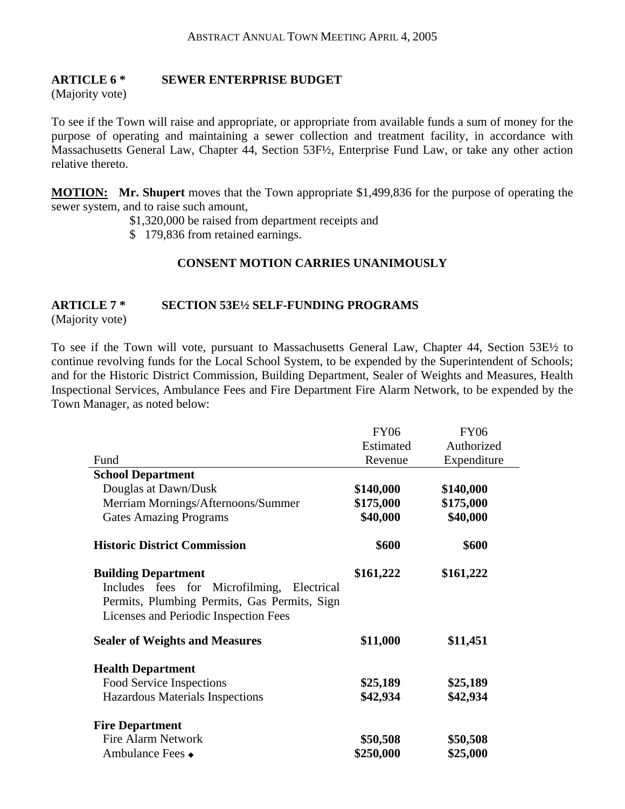#### **ARTICLE 6 \* SEWER ENTERPRISE BUDGET**

(Majority vote)

To see if the Town will raise and appropriate, or appropriate from available funds a sum of money for the purpose of operating and maintaining a sewer collection and treatment facility, in accordance with Massachusetts General Law, Chapter 44, Section 53F½, Enterprise Fund Law, or take any other action relative thereto.

**MOTION: Mr. Shupert** moves that the Town appropriate \$1,499,836 for the purpose of operating the sewer system, and to raise such amount,

\$1,320,000 be raised from department receipts and

\$ 179,836 from retained earnings.

#### **CONSENT MOTION CARRIES UNANIMOUSLY**

# **ARTICLE 7 \* SECTION 53E½ SELF-FUNDING PROGRAMS**

(Majority vote)

To see if the Town will vote, pursuant to Massachusetts General Law, Chapter 44, Section 53E½ to continue revolving funds for the Local School System, to be expended by the Superintendent of Schools; and for the Historic District Commission, Building Department, Sealer of Weights and Measures, Health Inspectional Services, Ambulance Fees and Fire Department Fire Alarm Network, to be expended by the Town Manager, as noted below:

|                                                                                                                                                                      | <b>FY06</b> | <b>FY06</b> |
|----------------------------------------------------------------------------------------------------------------------------------------------------------------------|-------------|-------------|
|                                                                                                                                                                      | Estimated   | Authorized  |
| Fund                                                                                                                                                                 | Revenue     | Expenditure |
| <b>School Department</b>                                                                                                                                             |             |             |
| Douglas at Dawn/Dusk                                                                                                                                                 | \$140,000   | \$140,000   |
| Merriam Mornings/Afternoons/Summer                                                                                                                                   | \$175,000   | \$175,000   |
| <b>Gates Amazing Programs</b>                                                                                                                                        | \$40,000    | \$40,000    |
| <b>Historic District Commission</b>                                                                                                                                  | \$600       | \$600       |
| <b>Building Department</b><br>Includes fees for Microfilming,<br>Electrical<br>Permits, Plumbing Permits, Gas Permits, Sign<br>Licenses and Periodic Inspection Fees | \$161,222   | \$161,222   |
| <b>Sealer of Weights and Measures</b>                                                                                                                                | \$11,000    | \$11,451    |
| <b>Health Department</b>                                                                                                                                             |             |             |
| Food Service Inspections                                                                                                                                             | \$25,189    | \$25,189    |
| Hazardous Materials Inspections                                                                                                                                      | \$42,934    | \$42,934    |
| <b>Fire Department</b>                                                                                                                                               |             |             |
| <b>Fire Alarm Network</b>                                                                                                                                            | \$50,508    | \$50,508    |
| Ambulance Fees $\bullet$                                                                                                                                             | \$250,000   | \$25,000    |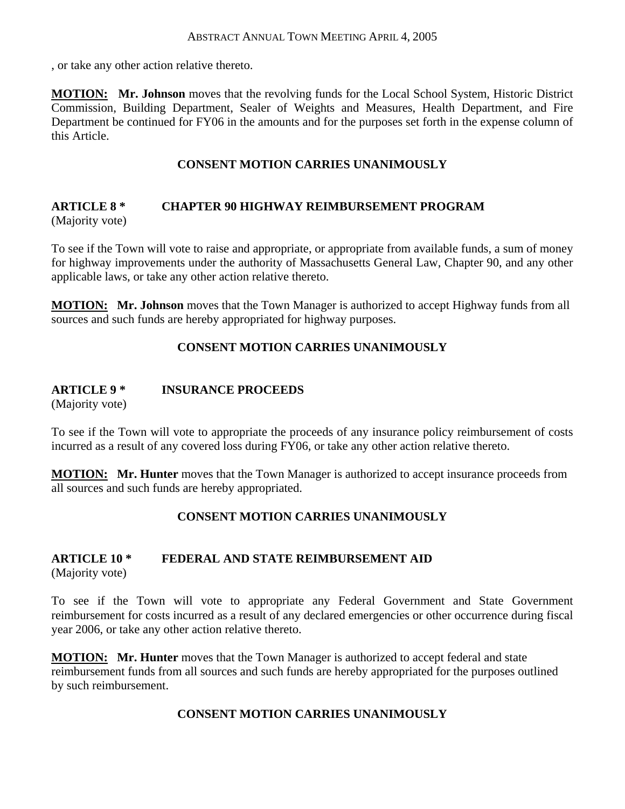, or take any other action relative thereto.

**MOTION: Mr. Johnson** moves that the revolving funds for the Local School System, Historic District Commission, Building Department, Sealer of Weights and Measures, Health Department, and Fire Department be continued for FY06 in the amounts and for the purposes set forth in the expense column of this Article.

# **CONSENT MOTION CARRIES UNANIMOUSLY**

#### **ARTICLE 8 \* CHAPTER 90 HIGHWAY REIMBURSEMENT PROGRAM** (Majority vote)

To see if the Town will vote to raise and appropriate, or appropriate from available funds, a sum of money for highway improvements under the authority of Massachusetts General Law, Chapter 90, and any other applicable laws, or take any other action relative thereto.

**MOTION: Mr. Johnson** moves that the Town Manager is authorized to accept Highway funds from all sources and such funds are hereby appropriated for highway purposes.

# **CONSENT MOTION CARRIES UNANIMOUSLY**

# **ARTICLE 9 \* INSURANCE PROCEEDS**

(Majority vote)

To see if the Town will vote to appropriate the proceeds of any insurance policy reimbursement of costs incurred as a result of any covered loss during FY06, or take any other action relative thereto.

**MOTION: Mr. Hunter** moves that the Town Manager is authorized to accept insurance proceeds from all sources and such funds are hereby appropriated.

# **CONSENT MOTION CARRIES UNANIMOUSLY**

#### **ARTICLE 10 \* FEDERAL AND STATE REIMBURSEMENT AID** (Majority vote)

To see if the Town will vote to appropriate any Federal Government and State Government reimbursement for costs incurred as a result of any declared emergencies or other occurrence during fiscal year 2006, or take any other action relative thereto.

**MOTION: Mr. Hunter** moves that the Town Manager is authorized to accept federal and state reimbursement funds from all sources and such funds are hereby appropriated for the purposes outlined by such reimbursement.

# **CONSENT MOTION CARRIES UNANIMOUSLY**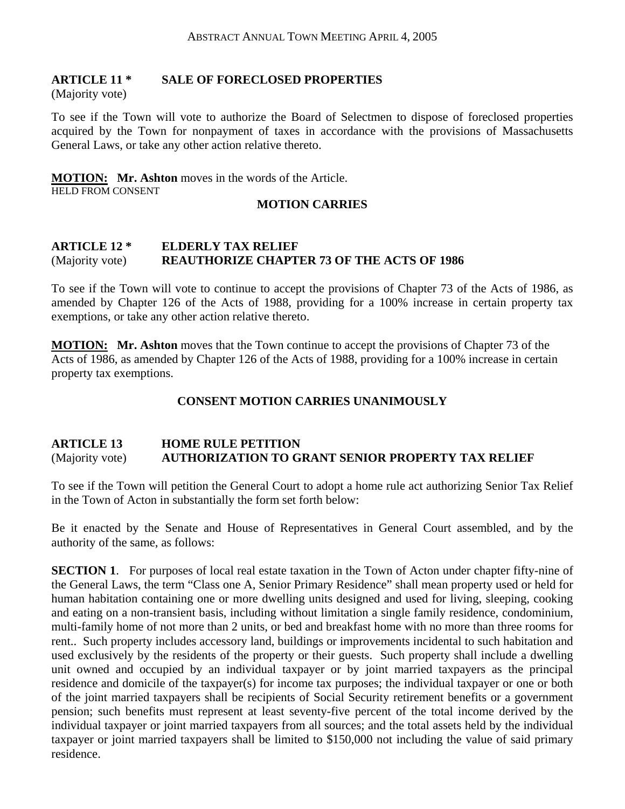# **ARTICLE 11 \* SALE OF FORECLOSED PROPERTIES**

(Majority vote)

To see if the Town will vote to authorize the Board of Selectmen to dispose of foreclosed properties acquired by the Town for nonpayment of taxes in accordance with the provisions of Massachusetts General Laws, or take any other action relative thereto.

# **MOTION: Mr. Ashton** moves in the words of the Article.

HELD FROM CONSENT

# **MOTION CARRIES**

### **ARTICLE 12 \* ELDERLY TAX RELIEF**  (Majority vote) **REAUTHORIZE CHAPTER 73 OF THE ACTS OF 1986**

To see if the Town will vote to continue to accept the provisions of Chapter 73 of the Acts of 1986, as amended by Chapter 126 of the Acts of 1988, providing for a 100% increase in certain property tax exemptions, or take any other action relative thereto.

**MOTION: Mr. Ashton** moves that the Town continue to accept the provisions of Chapter 73 of the Acts of 1986, as amended by Chapter 126 of the Acts of 1988, providing for a 100% increase in certain property tax exemptions.

# **CONSENT MOTION CARRIES UNANIMOUSLY**

#### **ARTICLE 13 HOME RULE PETITION**  (Majority vote) **AUTHORIZATION TO GRANT SENIOR PROPERTY TAX RELIEF**

To see if the Town will petition the General Court to adopt a home rule act authorizing Senior Tax Relief in the Town of Acton in substantially the form set forth below:

Be it enacted by the Senate and House of Representatives in General Court assembled, and by the authority of the same, as follows:

**SECTION 1.** For purposes of local real estate taxation in the Town of Acton under chapter fifty-nine of the General Laws, the term "Class one A, Senior Primary Residence" shall mean property used or held for human habitation containing one or more dwelling units designed and used for living, sleeping, cooking and eating on a non-transient basis, including without limitation a single family residence, condominium, multi-family home of not more than 2 units, or bed and breakfast home with no more than three rooms for rent.. Such property includes accessory land, buildings or improvements incidental to such habitation and used exclusively by the residents of the property or their guests. Such property shall include a dwelling unit owned and occupied by an individual taxpayer or by joint married taxpayers as the principal residence and domicile of the taxpayer(s) for income tax purposes; the individual taxpayer or one or both of the joint married taxpayers shall be recipients of Social Security retirement benefits or a government pension; such benefits must represent at least seventy-five percent of the total income derived by the individual taxpayer or joint married taxpayers from all sources; and the total assets held by the individual taxpayer or joint married taxpayers shall be limited to \$150,000 not including the value of said primary residence.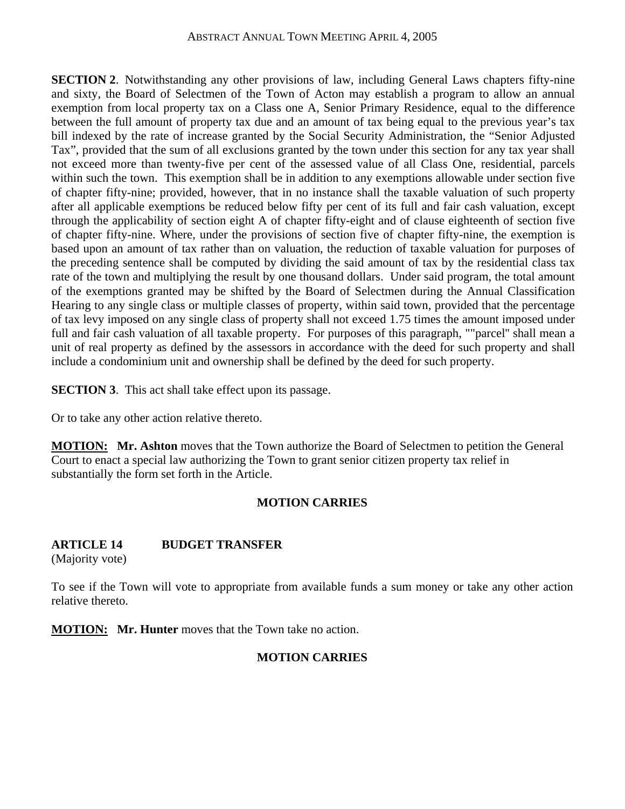**SECTION 2.** Notwithstanding any other provisions of law, including General Laws chapters fifty-nine and sixty, the Board of Selectmen of the Town of Acton may establish a program to allow an annual exemption from local property tax on a Class one A, Senior Primary Residence, equal to the difference between the full amount of property tax due and an amount of tax being equal to the previous year's tax bill indexed by the rate of increase granted by the Social Security Administration, the "Senior Adjusted Tax", provided that the sum of all exclusions granted by the town under this section for any tax year shall not exceed more than twenty-five per cent of the assessed value of all Class One, residential, parcels within such the town. This exemption shall be in addition to any exemptions allowable under section five of chapter fifty-nine; provided, however, that in no instance shall the taxable valuation of such property after all applicable exemptions be reduced below fifty per cent of its full and fair cash valuation, except through the applicability of section eight A of chapter fifty-eight and of clause eighteenth of section five of chapter fifty-nine. Where, under the provisions of section five of chapter fifty-nine, the exemption is based upon an amount of tax rather than on valuation, the reduction of taxable valuation for purposes of the preceding sentence shall be computed by dividing the said amount of tax by the residential class tax rate of the town and multiplying the result by one thousand dollars. Under said program, the total amount of the exemptions granted may be shifted by the Board of Selectmen during the Annual Classification Hearing to any single class or multiple classes of property, within said town, provided that the percentage of tax levy imposed on any single class of property shall not exceed 1.75 times the amount imposed under full and fair cash valuation of all taxable property. For purposes of this paragraph, ""parcel'' shall mean a unit of real property as defined by the assessors in accordance with the deed for such property and shall include a condominium unit and ownership shall be defined by the deed for such property.

**SECTION 3.** This act shall take effect upon its passage.

Or to take any other action relative thereto.

**MOTION:** Mr. Ashton moves that the Town authorize the Board of Selectmen to petition the General Court to enact a special law authorizing the Town to grant senior citizen property tax relief in substantially the form set forth in the Article.

# **MOTION CARRIES**

# **ARTICLE 14 BUDGET TRANSFER**

(Majority vote)

To see if the Town will vote to appropriate from available funds a sum money or take any other action relative thereto.

**MOTION: Mr. Hunter** moves that the Town take no action.

# **MOTION CARRIES**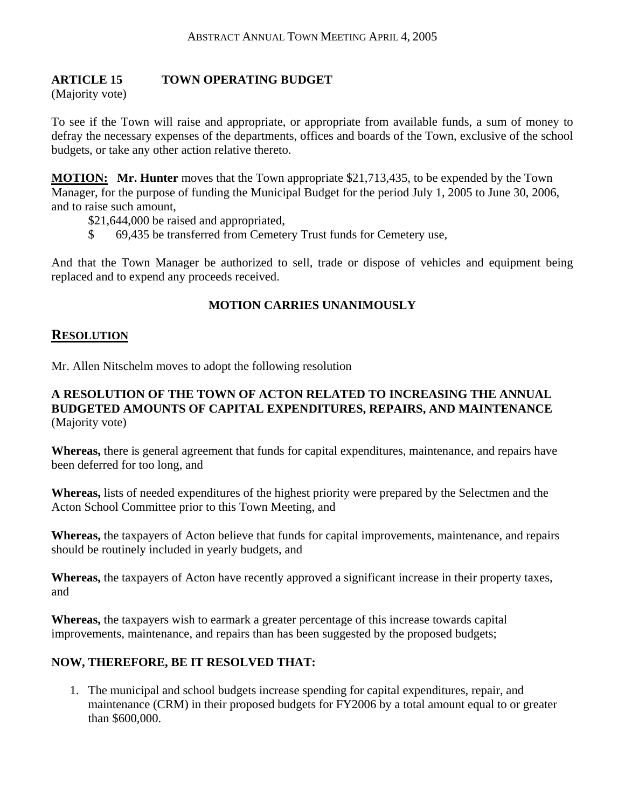# **ARTICLE 15 TOWN OPERATING BUDGET**

(Majority vote)

To see if the Town will raise and appropriate, or appropriate from available funds, a sum of money to defray the necessary expenses of the departments, offices and boards of the Town, exclusive of the school budgets, or take any other action relative thereto.

**MOTION: Mr. Hunter** moves that the Town appropriate \$21,713,435, to be expended by the Town Manager, for the purpose of funding the Municipal Budget for the period July 1, 2005 to June 30, 2006, and to raise such amount,

\$21,644,000 be raised and appropriated,

\$ 69,435 be transferred from Cemetery Trust funds for Cemetery use,

And that the Town Manager be authorized to sell, trade or dispose of vehicles and equipment being replaced and to expend any proceeds received.

#### **MOTION CARRIES UNANIMOUSLY**

#### **RESOLUTION**

Mr. Allen Nitschelm moves to adopt the following resolution

### **A RESOLUTION OF THE TOWN OF ACTON RELATED TO INCREASING THE ANNUAL BUDGETED AMOUNTS OF CAPITAL EXPENDITURES, REPAIRS, AND MAINTENANCE**  (Majority vote)

**Whereas,** there is general agreement that funds for capital expenditures, maintenance, and repairs have been deferred for too long, and

**Whereas,** lists of needed expenditures of the highest priority were prepared by the Selectmen and the Acton School Committee prior to this Town Meeting, and

**Whereas,** the taxpayers of Acton believe that funds for capital improvements, maintenance, and repairs should be routinely included in yearly budgets, and

**Whereas,** the taxpayers of Acton have recently approved a significant increase in their property taxes, and

**Whereas,** the taxpayers wish to earmark a greater percentage of this increase towards capital improvements, maintenance, and repairs than has been suggested by the proposed budgets;

#### **NOW, THEREFORE, BE IT RESOLVED THAT:**

1. The municipal and school budgets increase spending for capital expenditures, repair, and maintenance (CRM) in their proposed budgets for FY2006 by a total amount equal to or greater than \$600,000.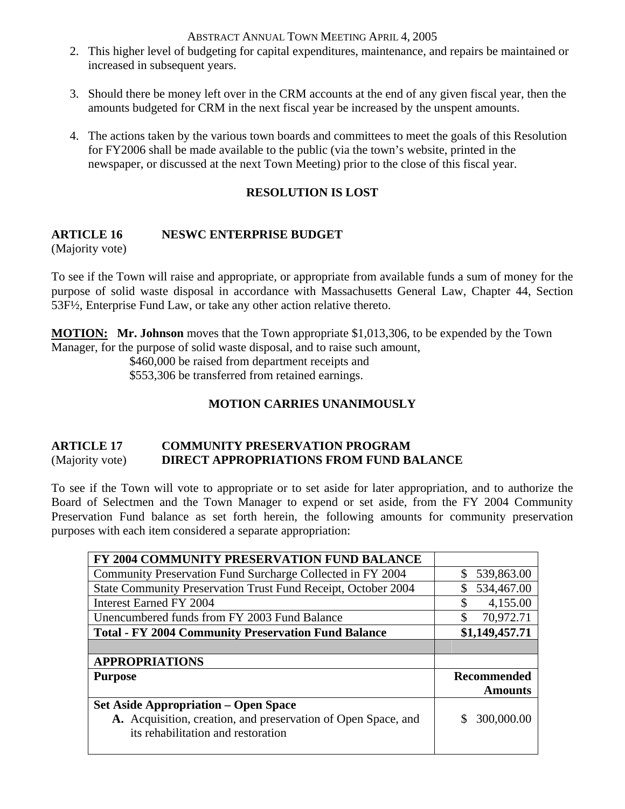- 2. This higher level of budgeting for capital expenditures, maintenance, and repairs be maintained or increased in subsequent years.
- 3. Should there be money left over in the CRM accounts at the end of any given fiscal year, then the amounts budgeted for CRM in the next fiscal year be increased by the unspent amounts.
- 4. The actions taken by the various town boards and committees to meet the goals of this Resolution for FY2006 shall be made available to the public (via the town's website, printed in the newspaper, or discussed at the next Town Meeting) prior to the close of this fiscal year.

# **RESOLUTION IS LOST**

# **ARTICLE 16 NESWC ENTERPRISE BUDGET**

(Majority vote)

To see if the Town will raise and appropriate, or appropriate from available funds a sum of money for the purpose of solid waste disposal in accordance with Massachusetts General Law, Chapter 44, Section 53F½, Enterprise Fund Law, or take any other action relative thereto.

**MOTION: Mr. Johnson** moves that the Town appropriate \$1,013,306, to be expended by the Town Manager, for the purpose of solid waste disposal, and to raise such amount,

\$460,000 be raised from department receipts and

\$553,306 be transferred from retained earnings.

# **MOTION CARRIES UNANIMOUSLY**

# **ARTICLE 17 COMMUNITY PRESERVATION PROGRAM**  (Majority vote) **DIRECT APPROPRIATIONS FROM FUND BALANCE**

To see if the Town will vote to appropriate or to set aside for later appropriation, and to authorize the Board of Selectmen and the Town Manager to expend or set aside, from the FY 2004 Community Preservation Fund balance as set forth herein, the following amounts for community preservation purposes with each item considered a separate appropriation:

| 539,863.00<br>S. |
|------------------|
| 534,467.00       |
| 4,155.00<br>\$   |
| \$<br>70,972.71  |
| \$1,149,457.71   |
|                  |
|                  |
|                  |
| Recommended      |
| <b>Amounts</b>   |
|                  |
|                  |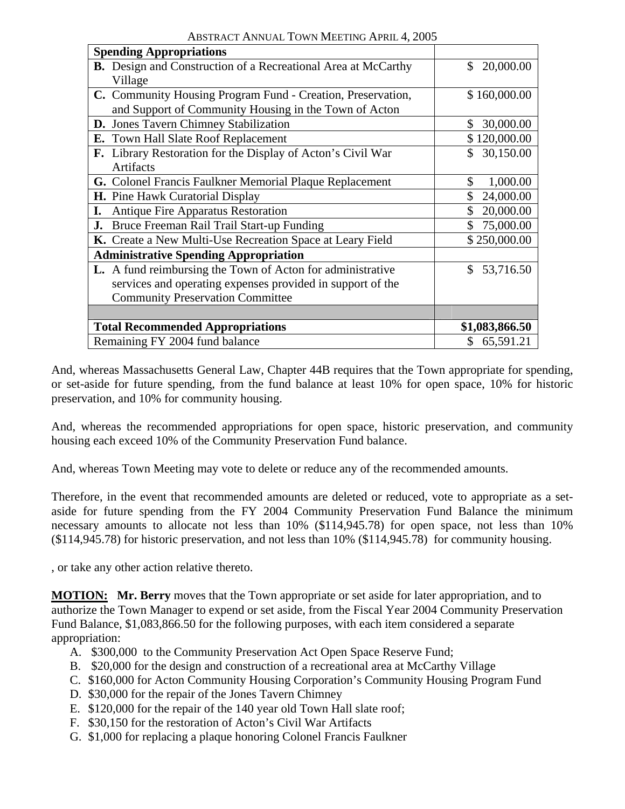| both $\alpha$ . The case to measure the second                       |                 |  |  |  |  |  |
|----------------------------------------------------------------------|-----------------|--|--|--|--|--|
| <b>Spending Appropriations</b>                                       |                 |  |  |  |  |  |
| <b>B.</b> Design and Construction of a Recreational Area at McCarthy | \$20,000.00     |  |  |  |  |  |
| Village                                                              |                 |  |  |  |  |  |
| C. Community Housing Program Fund - Creation, Preservation,          | \$160,000.00    |  |  |  |  |  |
| and Support of Community Housing in the Town of Acton                |                 |  |  |  |  |  |
| D. Jones Tavern Chimney Stabilization                                | \$<br>30,000.00 |  |  |  |  |  |
| E. Town Hall Slate Roof Replacement                                  | \$120,000.00    |  |  |  |  |  |
| F. Library Restoration for the Display of Acton's Civil War          | 30,150.00<br>\$ |  |  |  |  |  |
| <b>Artifacts</b>                                                     |                 |  |  |  |  |  |
| G. Colonel Francis Faulkner Memorial Plaque Replacement              | \$<br>1,000.00  |  |  |  |  |  |
| H. Pine Hawk Curatorial Display                                      | \$<br>24,000.00 |  |  |  |  |  |
| <b>I.</b> Antique Fire Apparatus Restoration                         | 20,000.00       |  |  |  |  |  |
| <b>J.</b> Bruce Freeman Rail Trail Start-up Funding                  | 75,000.00<br>\$ |  |  |  |  |  |
| K. Create a New Multi-Use Recreation Space at Leary Field            | \$250,000.00    |  |  |  |  |  |
| <b>Administrative Spending Appropriation</b>                         |                 |  |  |  |  |  |
| L. A fund reimbursing the Town of Acton for administrative           | \$<br>53,716.50 |  |  |  |  |  |
| services and operating expenses provided in support of the           |                 |  |  |  |  |  |
| <b>Community Preservation Committee</b>                              |                 |  |  |  |  |  |
|                                                                      |                 |  |  |  |  |  |
| <b>Total Recommended Appropriations</b>                              | \$1,083,866.50  |  |  |  |  |  |
| Remaining FY 2004 fund balance                                       | \$65,591.21     |  |  |  |  |  |
|                                                                      |                 |  |  |  |  |  |

And, whereas Massachusetts General Law, Chapter 44B requires that the Town appropriate for spending, or set-aside for future spending, from the fund balance at least 10% for open space, 10% for historic preservation, and 10% for community housing.

And, whereas the recommended appropriations for open space, historic preservation, and community housing each exceed 10% of the Community Preservation Fund balance.

And, whereas Town Meeting may vote to delete or reduce any of the recommended amounts.

Therefore, in the event that recommended amounts are deleted or reduced, vote to appropriate as a setaside for future spending from the FY 2004 Community Preservation Fund Balance the minimum necessary amounts to allocate not less than 10% (\$114,945.78) for open space, not less than 10% (\$114,945.78) for historic preservation, and not less than 10% (\$114,945.78) for community housing.

, or take any other action relative thereto.

**MOTION: Mr. Berry** moves that the Town appropriate or set aside for later appropriation, and to authorize the Town Manager to expend or set aside, from the Fiscal Year 2004 Community Preservation Fund Balance, \$1,083,866.50 for the following purposes, with each item considered a separate appropriation:

- A. \$300,000 to the Community Preservation Act Open Space Reserve Fund;
- B. \$20,000 for the design and construction of a recreational area at McCarthy Village
- C. \$160,000 for Acton Community Housing Corporation's Community Housing Program Fund
- D. \$30,000 for the repair of the Jones Tavern Chimney
- E. \$120,000 for the repair of the 140 year old Town Hall slate roof;
- F. \$30,150 for the restoration of Acton's Civil War Artifacts
- G. \$1,000 for replacing a plaque honoring Colonel Francis Faulkner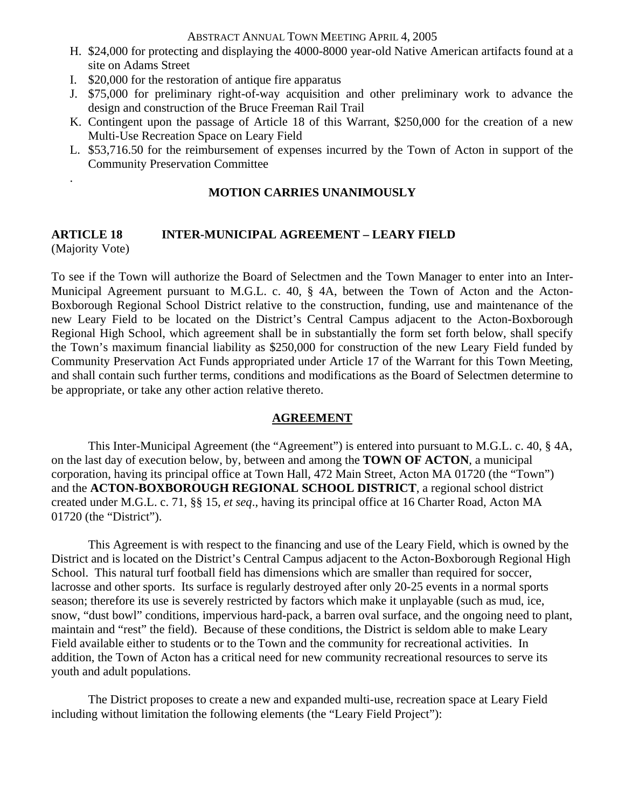- H. \$24,000 for protecting and displaying the 4000-8000 year-old Native American artifacts found at a site on Adams Street
- I. \$20,000 for the restoration of antique fire apparatus

.

- J. \$75,000 for preliminary right-of-way acquisition and other preliminary work to advance the design and construction of the Bruce Freeman Rail Trail
- K. Contingent upon the passage of Article 18 of this Warrant, \$250,000 for the creation of a new Multi-Use Recreation Space on Leary Field
- L. \$53,716.50 for the reimbursement of expenses incurred by the Town of Acton in support of the Community Preservation Committee

#### **MOTION CARRIES UNANIMOUSLY**

#### **ARTICLE 18 INTER-MUNICIPAL AGREEMENT – LEARY FIELD**  (Majority Vote)

To see if the Town will authorize the Board of Selectmen and the Town Manager to enter into an Inter-Municipal Agreement pursuant to M.G.L. c. 40, § 4A, between the Town of Acton and the Acton-Boxborough Regional School District relative to the construction, funding, use and maintenance of the new Leary Field to be located on the District's Central Campus adjacent to the Acton-Boxborough Regional High School, which agreement shall be in substantially the form set forth below, shall specify the Town's maximum financial liability as \$250,000 for construction of the new Leary Field funded by Community Preservation Act Funds appropriated under Article 17 of the Warrant for this Town Meeting, and shall contain such further terms, conditions and modifications as the Board of Selectmen determine to be appropriate, or take any other action relative thereto.

# **AGREEMENT**

 This Inter-Municipal Agreement (the "Agreement") is entered into pursuant to M.G.L. c. 40, § 4A, on the last day of execution below, by, between and among the **TOWN OF ACTON**, a municipal corporation, having its principal office at Town Hall, 472 Main Street, Acton MA 01720 (the "Town") and the **ACTON-BOXBOROUGH REGIONAL SCHOOL DISTRICT**, a regional school district created under M.G.L. c. 71, §§ 15, *et seq*., having its principal office at 16 Charter Road, Acton MA 01720 (the "District").

 This Agreement is with respect to the financing and use of the Leary Field, which is owned by the District and is located on the District's Central Campus adjacent to the Acton-Boxborough Regional High School. This natural turf football field has dimensions which are smaller than required for soccer, lacrosse and other sports. Its surface is regularly destroyed after only 20-25 events in a normal sports season; therefore its use is severely restricted by factors which make it unplayable (such as mud, ice, snow, "dust bowl" conditions, impervious hard-pack, a barren oval surface, and the ongoing need to plant, maintain and "rest" the field). Because of these conditions, the District is seldom able to make Leary Field available either to students or to the Town and the community for recreational activities. In addition, the Town of Acton has a critical need for new community recreational resources to serve its youth and adult populations.

 The District proposes to create a new and expanded multi-use, recreation space at Leary Field including without limitation the following elements (the "Leary Field Project"):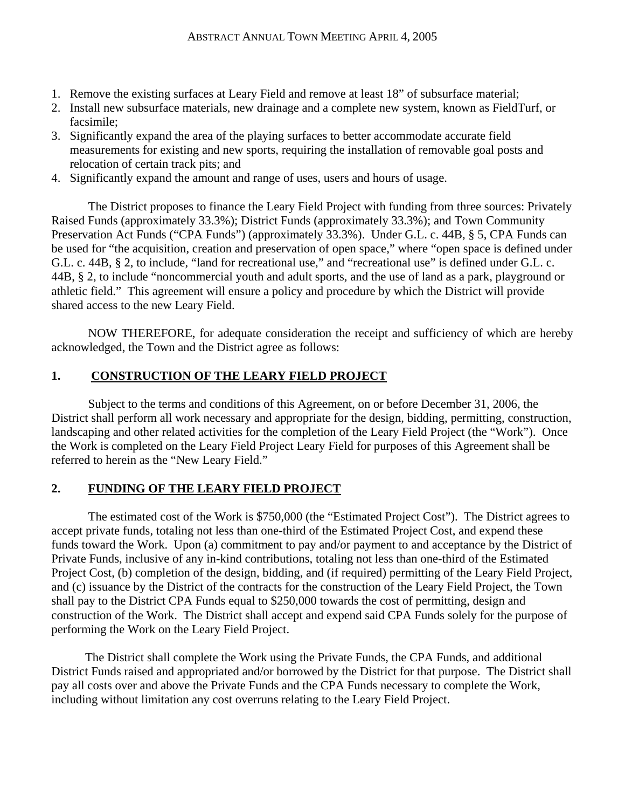- 1. Remove the existing surfaces at Leary Field and remove at least 18" of subsurface material;
- 2. Install new subsurface materials, new drainage and a complete new system, known as FieldTurf, or facsimile;
- 3. Significantly expand the area of the playing surfaces to better accommodate accurate field measurements for existing and new sports, requiring the installation of removable goal posts and relocation of certain track pits; and
- 4. Significantly expand the amount and range of uses, users and hours of usage.

 The District proposes to finance the Leary Field Project with funding from three sources: Privately Raised Funds (approximately 33.3%); District Funds (approximately 33.3%); and Town Community Preservation Act Funds ("CPA Funds") (approximately 33.3%). Under G.L. c. 44B, § 5, CPA Funds can be used for "the acquisition, creation and preservation of open space," where "open space is defined under G.L. c. 44B, § 2, to include, "land for recreational use," and "recreational use" is defined under G.L. c. 44B, § 2, to include "noncommercial youth and adult sports, and the use of land as a park, playground or athletic field." This agreement will ensure a policy and procedure by which the District will provide shared access to the new Leary Field.

 NOW THEREFORE, for adequate consideration the receipt and sufficiency of which are hereby acknowledged, the Town and the District agree as follows:

# **1. CONSTRUCTION OF THE LEARY FIELD PROJECT**

 Subject to the terms and conditions of this Agreement, on or before December 31, 2006, the District shall perform all work necessary and appropriate for the design, bidding, permitting, construction, landscaping and other related activities for the completion of the Leary Field Project (the "Work"). Once the Work is completed on the Leary Field Project Leary Field for purposes of this Agreement shall be referred to herein as the "New Leary Field."

# **2. FUNDING OF THE LEARY FIELD PROJECT**

 The estimated cost of the Work is \$750,000 (the "Estimated Project Cost"). The District agrees to accept private funds, totaling not less than one-third of the Estimated Project Cost, and expend these funds toward the Work. Upon (a) commitment to pay and/or payment to and acceptance by the District of Private Funds, inclusive of any in-kind contributions, totaling not less than one-third of the Estimated Project Cost, (b) completion of the design, bidding, and (if required) permitting of the Leary Field Project, and (c) issuance by the District of the contracts for the construction of the Leary Field Project, the Town shall pay to the District CPA Funds equal to \$250,000 towards the cost of permitting, design and construction of the Work. The District shall accept and expend said CPA Funds solely for the purpose of performing the Work on the Leary Field Project.

 The District shall complete the Work using the Private Funds, the CPA Funds, and additional District Funds raised and appropriated and/or borrowed by the District for that purpose. The District shall pay all costs over and above the Private Funds and the CPA Funds necessary to complete the Work, including without limitation any cost overruns relating to the Leary Field Project.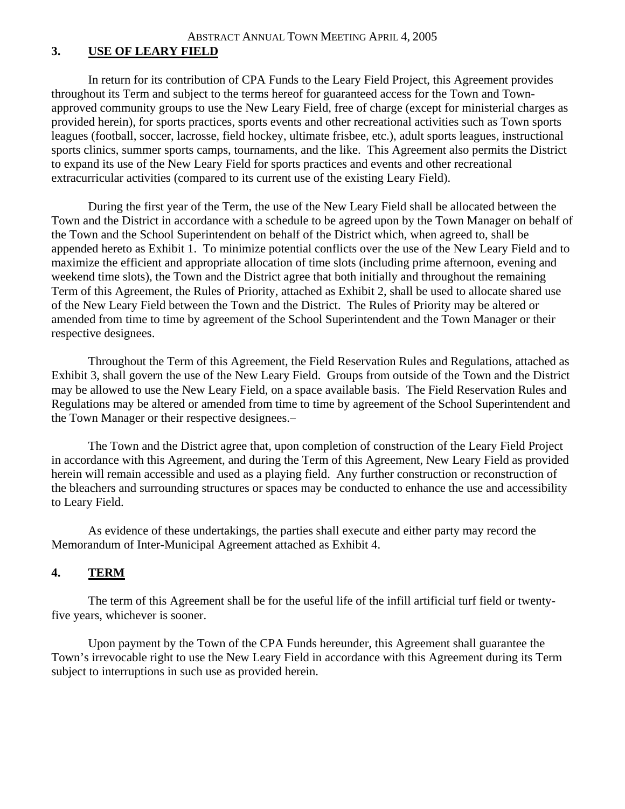# **3. USE OF LEARY FIELD**

 In return for its contribution of CPA Funds to the Leary Field Project, this Agreement provides throughout its Term and subject to the terms hereof for guaranteed access for the Town and Townapproved community groups to use the New Leary Field, free of charge (except for ministerial charges as provided herein), for sports practices, sports events and other recreational activities such as Town sports leagues (football, soccer, lacrosse, field hockey, ultimate frisbee, etc.), adult sports leagues, instructional sports clinics, summer sports camps, tournaments, and the like. This Agreement also permits the District to expand its use of the New Leary Field for sports practices and events and other recreational extracurricular activities (compared to its current use of the existing Leary Field).

 During the first year of the Term, the use of the New Leary Field shall be allocated between the Town and the District in accordance with a schedule to be agreed upon by the Town Manager on behalf of the Town and the School Superintendent on behalf of the District which, when agreed to, shall be appended hereto as Exhibit 1. To minimize potential conflicts over the use of the New Leary Field and to maximize the efficient and appropriate allocation of time slots (including prime afternoon, evening and weekend time slots), the Town and the District agree that both initially and throughout the remaining Term of this Agreement, the Rules of Priority, attached as Exhibit 2, shall be used to allocate shared use of the New Leary Field between the Town and the District. The Rules of Priority may be altered or amended from time to time by agreement of the School Superintendent and the Town Manager or their respective designees.

Throughout the Term of this Agreement, the Field Reservation Rules and Regulations, attached as Exhibit 3, shall govern the use of the New Leary Field. Groups from outside of the Town and the District may be allowed to use the New Leary Field, on a space available basis. The Field Reservation Rules and Regulations may be altered or amended from time to time by agreement of the School Superintendent and the Town Manager or their respective designees.

 The Town and the District agree that, upon completion of construction of the Leary Field Project in accordance with this Agreement, and during the Term of this Agreement, New Leary Field as provided herein will remain accessible and used as a playing field. Any further construction or reconstruction of the bleachers and surrounding structures or spaces may be conducted to enhance the use and accessibility to Leary Field.

 As evidence of these undertakings, the parties shall execute and either party may record the Memorandum of Inter-Municipal Agreement attached as Exhibit 4.

# **4. TERM**

 The term of this Agreement shall be for the useful life of the infill artificial turf field or twentyfive years, whichever is sooner.

Upon payment by the Town of the CPA Funds hereunder, this Agreement shall guarantee the Town's irrevocable right to use the New Leary Field in accordance with this Agreement during its Term subject to interruptions in such use as provided herein.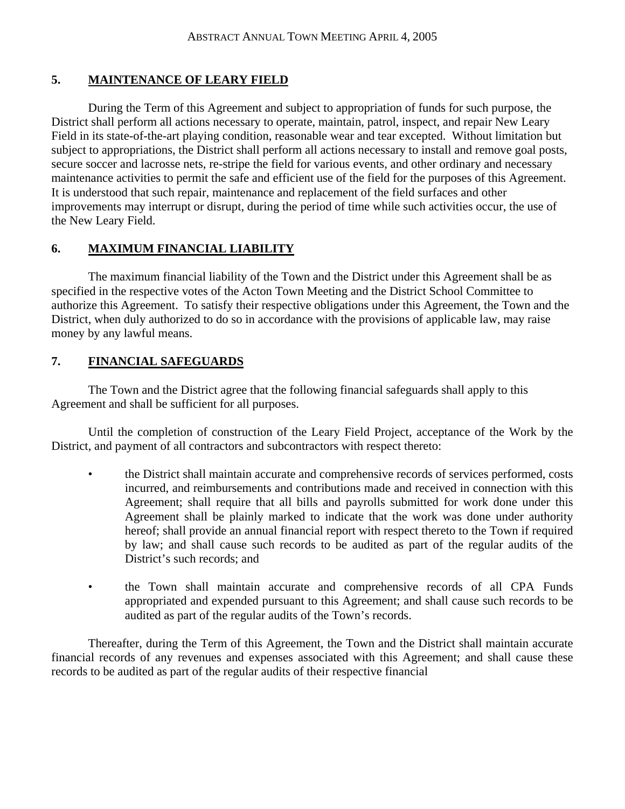# **5. MAINTENANCE OF LEARY FIELD**

 During the Term of this Agreement and subject to appropriation of funds for such purpose, the District shall perform all actions necessary to operate, maintain, patrol, inspect, and repair New Leary Field in its state-of-the-art playing condition, reasonable wear and tear excepted. Without limitation but subject to appropriations, the District shall perform all actions necessary to install and remove goal posts, secure soccer and lacrosse nets, re-stripe the field for various events, and other ordinary and necessary maintenance activities to permit the safe and efficient use of the field for the purposes of this Agreement. It is understood that such repair, maintenance and replacement of the field surfaces and other improvements may interrupt or disrupt, during the period of time while such activities occur, the use of the New Leary Field.

# **6. MAXIMUM FINANCIAL LIABILITY**

 The maximum financial liability of the Town and the District under this Agreement shall be as specified in the respective votes of the Acton Town Meeting and the District School Committee to authorize this Agreement. To satisfy their respective obligations under this Agreement, the Town and the District, when duly authorized to do so in accordance with the provisions of applicable law, may raise money by any lawful means.

# **7. FINANCIAL SAFEGUARDS**

 The Town and the District agree that the following financial safeguards shall apply to this Agreement and shall be sufficient for all purposes.

 Until the completion of construction of the Leary Field Project, acceptance of the Work by the District, and payment of all contractors and subcontractors with respect thereto:

- the District shall maintain accurate and comprehensive records of services performed, costs incurred, and reimbursements and contributions made and received in connection with this Agreement; shall require that all bills and payrolls submitted for work done under this Agreement shall be plainly marked to indicate that the work was done under authority hereof; shall provide an annual financial report with respect thereto to the Town if required by law; and shall cause such records to be audited as part of the regular audits of the District's such records; and
- the Town shall maintain accurate and comprehensive records of all CPA Funds appropriated and expended pursuant to this Agreement; and shall cause such records to be audited as part of the regular audits of the Town's records.

 Thereafter, during the Term of this Agreement, the Town and the District shall maintain accurate financial records of any revenues and expenses associated with this Agreement; and shall cause these records to be audited as part of the regular audits of their respective financial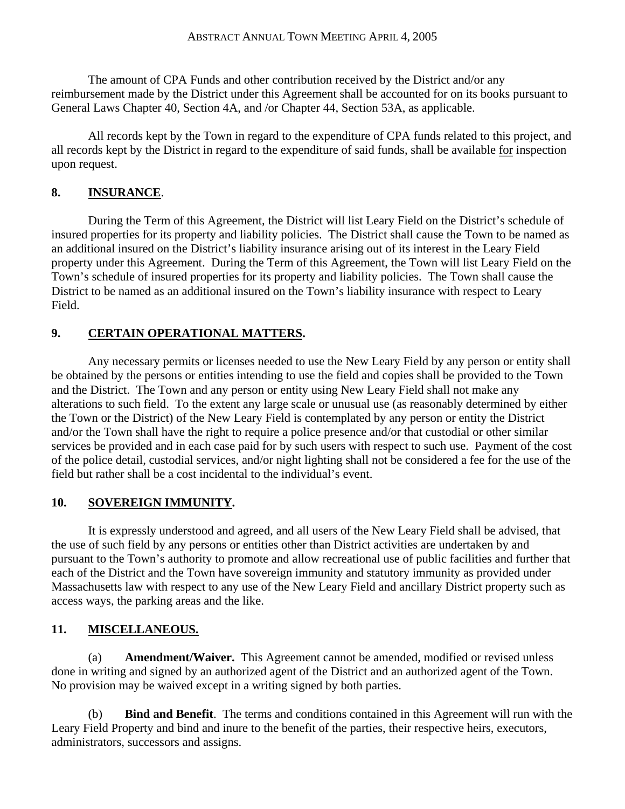The amount of CPA Funds and other contribution received by the District and/or any reimbursement made by the District under this Agreement shall be accounted for on its books pursuant to General Laws Chapter 40, Section 4A, and /or Chapter 44, Section 53A, as applicable.

All records kept by the Town in regard to the expenditure of CPA funds related to this project, and all records kept by the District in regard to the expenditure of said funds, shall be available for inspection upon request.

# **8. INSURANCE**.

 During the Term of this Agreement, the District will list Leary Field on the District's schedule of insured properties for its property and liability policies. The District shall cause the Town to be named as an additional insured on the District's liability insurance arising out of its interest in the Leary Field property under this Agreement. During the Term of this Agreement, the Town will list Leary Field on the Town's schedule of insured properties for its property and liability policies. The Town shall cause the District to be named as an additional insured on the Town's liability insurance with respect to Leary Field.

# **9. CERTAIN OPERATIONAL MATTERS.**

Any necessary permits or licenses needed to use the New Leary Field by any person or entity shall be obtained by the persons or entities intending to use the field and copies shall be provided to the Town and the District. The Town and any person or entity using New Leary Field shall not make any alterations to such field. To the extent any large scale or unusual use (as reasonably determined by either the Town or the District) of the New Leary Field is contemplated by any person or entity the District and/or the Town shall have the right to require a police presence and/or that custodial or other similar services be provided and in each case paid for by such users with respect to such use. Payment of the cost of the police detail, custodial services, and/or night lighting shall not be considered a fee for the use of the field but rather shall be a cost incidental to the individual's event.

# **10. SOVEREIGN IMMUNITY.**

It is expressly understood and agreed, and all users of the New Leary Field shall be advised, that the use of such field by any persons or entities other than District activities are undertaken by and pursuant to the Town's authority to promote and allow recreational use of public facilities and further that each of the District and the Town have sovereign immunity and statutory immunity as provided under Massachusetts law with respect to any use of the New Leary Field and ancillary District property such as access ways, the parking areas and the like.

# **11. MISCELLANEOUS.**

 (a) **Amendment/Waiver.** This Agreement cannot be amended, modified or revised unless done in writing and signed by an authorized agent of the District and an authorized agent of the Town. No provision may be waived except in a writing signed by both parties.

 (b) **Bind and Benefit**. The terms and conditions contained in this Agreement will run with the Leary Field Property and bind and inure to the benefit of the parties, their respective heirs, executors, administrators, successors and assigns.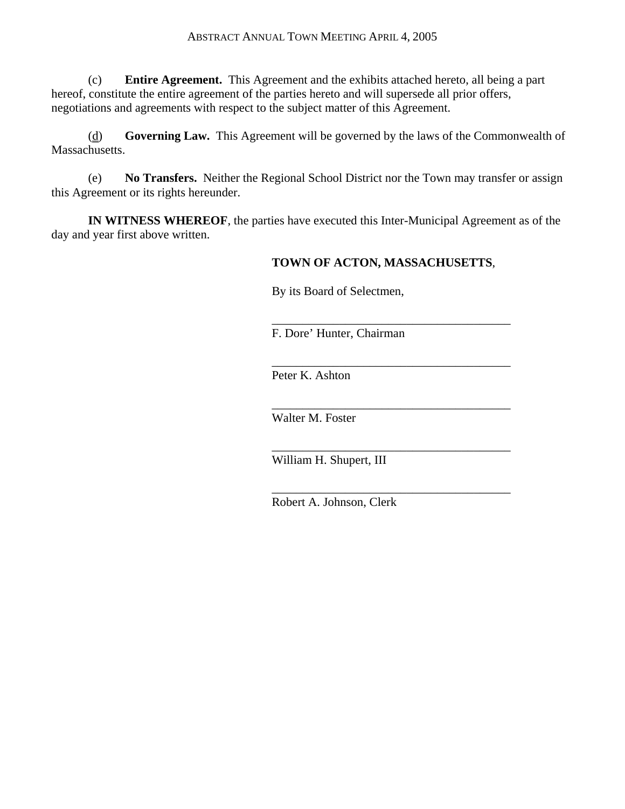(c) **Entire Agreement.** This Agreement and the exhibits attached hereto, all being a part hereof, constitute the entire agreement of the parties hereto and will supersede all prior offers, negotiations and agreements with respect to the subject matter of this Agreement.

 (d) **Governing Law.** This Agreement will be governed by the laws of the Commonwealth of Massachusetts.

 (e) **No Transfers.** Neither the Regional School District nor the Town may transfer or assign this Agreement or its rights hereunder.

**IN WITNESS WHEREOF**, the parties have executed this Inter-Municipal Agreement as of the day and year first above written.

# **TOWN OF ACTON, MASSACHUSETTS**,

\_\_\_\_\_\_\_\_\_\_\_\_\_\_\_\_\_\_\_\_\_\_\_\_\_\_\_\_\_\_\_\_\_\_\_\_\_\_\_

By its Board of Selectmen,

F. Dore' Hunter, Chairman

Peter K. Ashton

 $\overline{\phantom{a}}$  , and the contract of the contract of the contract of the contract of the contract of the contract of the contract of the contract of the contract of the contract of the contract of the contract of the contrac

 $\overline{\phantom{a}}$  , which is a set of the set of the set of the set of the set of the set of the set of the set of the set of the set of the set of the set of the set of the set of the set of the set of the set of the set of th

 $\overline{\phantom{a}}$  , and the contract of the contract of the contract of the contract of the contract of the contract of the contract of the contract of the contract of the contract of the contract of the contract of the contrac

 $\overline{\phantom{a}}$  , and the contract of the contract of the contract of the contract of the contract of the contract of the contract of the contract of the contract of the contract of the contract of the contract of the contrac

Walter M. Foster

William H. Shupert, III

Robert A. Johnson, Clerk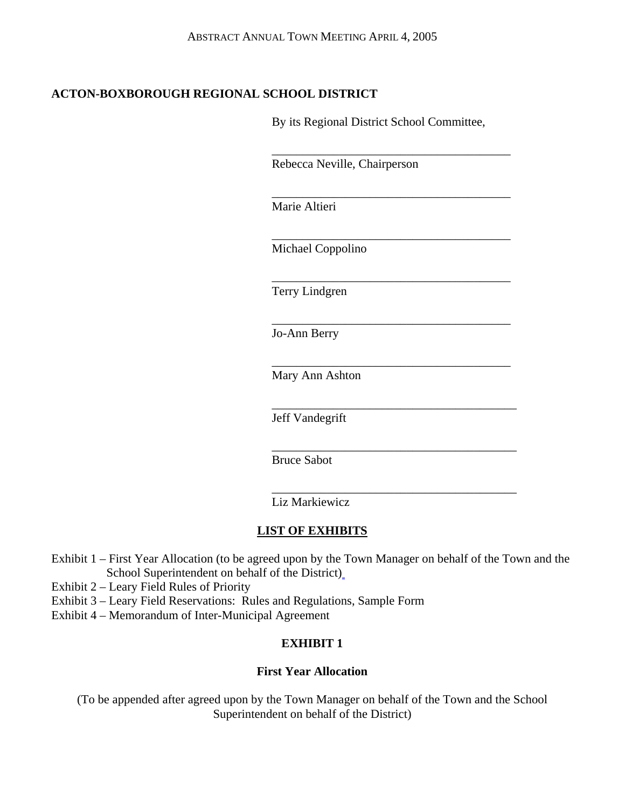# **ACTON-BOXBOROUGH REGIONAL SCHOOL DISTRICT**

By its Regional District School Committee,

\_\_\_\_\_\_\_\_\_\_\_\_\_\_\_\_\_\_\_\_\_\_\_\_\_\_\_\_\_\_\_\_\_\_\_\_\_\_\_

Rebecca Neville, Chairperson

Marie Altieri

 $\overline{\phantom{a}}$  , which is a set of the set of the set of the set of the set of the set of the set of the set of the set of the set of the set of the set of the set of the set of the set of the set of the set of the set of th

 $\overline{\phantom{a}}$  , and the contract of the contract of the contract of the contract of the contract of the contract of the contract of the contract of the contract of the contract of the contract of the contract of the contrac

 $\overline{\phantom{a}}$  , and the contract of the contract of the contract of the contract of the contract of the contract of the contract of the contract of the contract of the contract of the contract of the contract of the contrac

 $\overline{\phantom{a}}$  , and the contract of the contract of the contract of the contract of the contract of the contract of the contract of the contract of the contract of the contract of the contract of the contract of the contrac

 $\overline{\phantom{a}}$  , and the contract of the contract of the contract of the contract of the contract of the contract of the contract of the contract of the contract of the contract of the contract of the contract of the contrac

 $\overline{\phantom{a}}$  , and the contract of the contract of the contract of the contract of the contract of the contract of the contract of the contract of the contract of the contract of the contract of the contract of the contrac

 $\overline{\phantom{a}}$  , and the contract of the contract of the contract of the contract of the contract of the contract of the contract of the contract of the contract of the contract of the contract of the contract of the contrac

 $\overline{\phantom{a}}$  , and the contract of the contract of the contract of the contract of the contract of the contract of the contract of the contract of the contract of the contract of the contract of the contract of the contrac

Michael Coppolino

Terry Lindgren

Jo-Ann Berry

Mary Ann Ashton

Jeff Vandegrift

Bruce Sabot

Liz Markiewicz

# **LIST OF EXHIBITS**

- Exhibit 1 First Year Allocation (to be agreed upon by the Town Manager on behalf of the Town and the School Superintendent on behalf of the District)
- Exhibit 2 Leary Field Rules of Priority
- Exhibit 3 Leary Field Reservations: Rules and Regulations, Sample Form
- Exhibit 4 Memorandum of Inter-Municipal Agreement

# **EXHIBIT 1**

# **First Year Allocation**

(To be appended after agreed upon by the Town Manager on behalf of the Town and the School Superintendent on behalf of the District)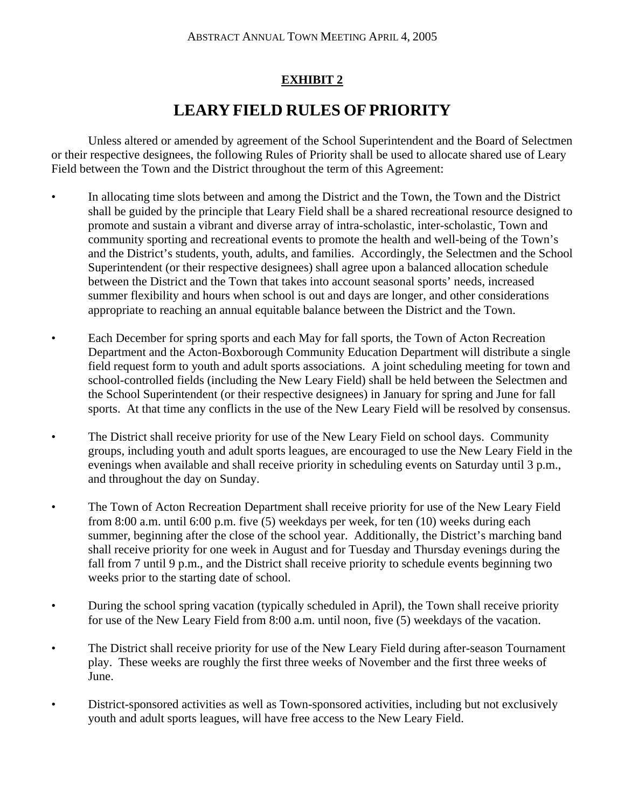# **EXHIBIT 2**

# **LEARY FIELD RULES OF PRIORITY**

Unless altered or amended by agreement of the School Superintendent and the Board of Selectmen or their respective designees, the following Rules of Priority shall be used to allocate shared use of Leary Field between the Town and the District throughout the term of this Agreement:

- In allocating time slots between and among the District and the Town, the Town and the District shall be guided by the principle that Leary Field shall be a shared recreational resource designed to promote and sustain a vibrant and diverse array of intra-scholastic, inter-scholastic, Town and community sporting and recreational events to promote the health and well-being of the Town's and the District's students, youth, adults, and families. Accordingly, the Selectmen and the School Superintendent (or their respective designees) shall agree upon a balanced allocation schedule between the District and the Town that takes into account seasonal sports' needs, increased summer flexibility and hours when school is out and days are longer, and other considerations appropriate to reaching an annual equitable balance between the District and the Town.
- Each December for spring sports and each May for fall sports, the Town of Acton Recreation Department and the Acton-Boxborough Community Education Department will distribute a single field request form to youth and adult sports associations. A joint scheduling meeting for town and school-controlled fields (including the New Leary Field) shall be held between the Selectmen and the School Superintendent (or their respective designees) in January for spring and June for fall sports. At that time any conflicts in the use of the New Leary Field will be resolved by consensus.
- The District shall receive priority for use of the New Leary Field on school days. Community groups, including youth and adult sports leagues, are encouraged to use the New Leary Field in the evenings when available and shall receive priority in scheduling events on Saturday until 3 p.m., and throughout the day on Sunday.
- The Town of Acton Recreation Department shall receive priority for use of the New Leary Field from 8:00 a.m. until 6:00 p.m. five (5) weekdays per week, for ten (10) weeks during each summer, beginning after the close of the school year. Additionally, the District's marching band shall receive priority for one week in August and for Tuesday and Thursday evenings during the fall from 7 until 9 p.m., and the District shall receive priority to schedule events beginning two weeks prior to the starting date of school.
- During the school spring vacation (typically scheduled in April), the Town shall receive priority for use of the New Leary Field from 8:00 a.m. until noon, five (5) weekdays of the vacation.
- The District shall receive priority for use of the New Leary Field during after-season Tournament play. These weeks are roughly the first three weeks of November and the first three weeks of June.
- District-sponsored activities as well as Town-sponsored activities, including but not exclusively youth and adult sports leagues, will have free access to the New Leary Field.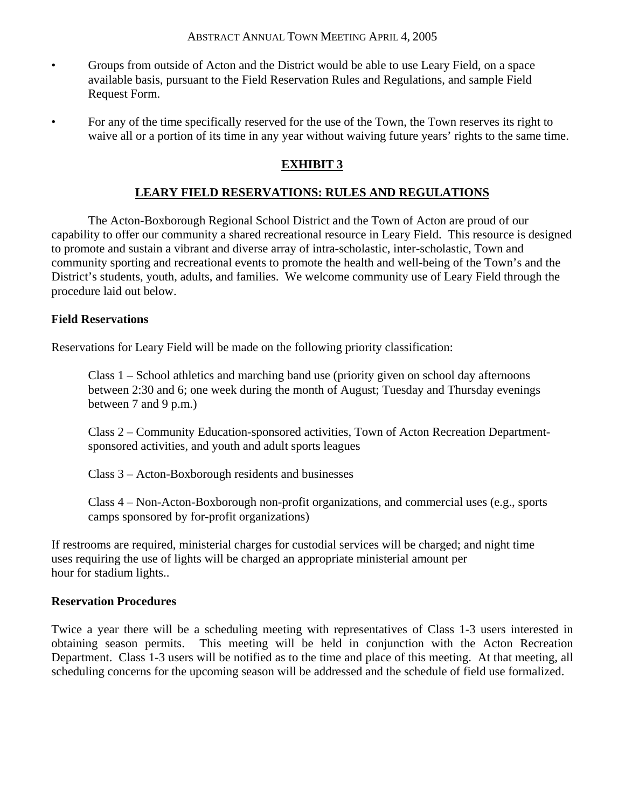- Groups from outside of Acton and the District would be able to use Leary Field, on a space available basis, pursuant to the Field Reservation Rules and Regulations, and sample Field Request Form.
- For any of the time specifically reserved for the use of the Town, the Town reserves its right to waive all or a portion of its time in any year without waiving future years' rights to the same time.

# **EXHIBIT 3**

# **LEARY FIELD RESERVATIONS: RULES AND REGULATIONS**

 The Acton-Boxborough Regional School District and the Town of Acton are proud of our capability to offer our community a shared recreational resource in Leary Field. This resource is designed to promote and sustain a vibrant and diverse array of intra-scholastic, inter-scholastic, Town and community sporting and recreational events to promote the health and well-being of the Town's and the District's students, youth, adults, and families. We welcome community use of Leary Field through the procedure laid out below.

#### **Field Reservations**

Reservations for Leary Field will be made on the following priority classification:

 Class 1 – School athletics and marching band use (priority given on school day afternoons between 2:30 and 6; one week during the month of August; Tuesday and Thursday evenings between 7 and 9 p.m.)

 Class 2 – Community Education-sponsored activities, Town of Acton Recreation Departmentsponsored activities, and youth and adult sports leagues

Class 3 – Acton-Boxborough residents and businesses

 Class 4 – Non-Acton-Boxborough non-profit organizations, and commercial uses (e.g., sports camps sponsored by for-profit organizations)

If restrooms are required, ministerial charges for custodial services will be charged; and night time uses requiring the use of lights will be charged an appropriate ministerial amount per hour for stadium lights..

# **Reservation Procedures**

Twice a year there will be a scheduling meeting with representatives of Class 1-3 users interested in obtaining season permits. This meeting will be held in conjunction with the Acton Recreation Department. Class 1-3 users will be notified as to the time and place of this meeting. At that meeting, all scheduling concerns for the upcoming season will be addressed and the schedule of field use formalized.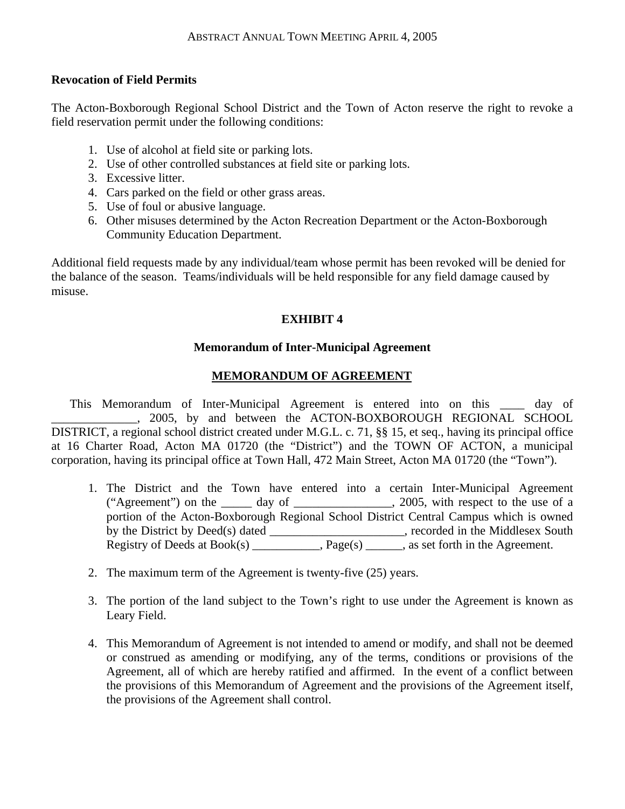#### **Revocation of Field Permits**

The Acton-Boxborough Regional School District and the Town of Acton reserve the right to revoke a field reservation permit under the following conditions:

- 1. Use of alcohol at field site or parking lots.
- 2. Use of other controlled substances at field site or parking lots.
- 3. Excessive litter.
- 4. Cars parked on the field or other grass areas.
- 5. Use of foul or abusive language.
- 6. Other misuses determined by the Acton Recreation Department or the Acton-Boxborough Community Education Department.

Additional field requests made by any individual/team whose permit has been revoked will be denied for the balance of the season. Teams/individuals will be held responsible for any field damage caused by misuse.

#### **EXHIBIT 4**

#### **Memorandum of Inter-Municipal Agreement**

# **MEMORANDUM OF AGREEMENT**

 This Memorandum of Inter-Municipal Agreement is entered into on this \_\_\_\_ day of  $\Box$ , 2005, by and between the ACTON-BOXBOROUGH REGIONAL SCHOOL DISTRICT, a regional school district created under M.G.L. c. 71, §§ 15, et seq., having its principal office at 16 Charter Road, Acton MA 01720 (the "District") and the TOWN OF ACTON, a municipal corporation, having its principal office at Town Hall, 472 Main Street, Acton MA 01720 (the "Town").

- 1. The District and the Town have entered into a certain Inter-Municipal Agreement ("Agreement") on the \_\_\_\_\_\_ day of \_\_\_\_\_\_\_\_\_\_\_\_\_\_\_\_, 2005, with respect to the use of a portion of the Acton-Boxborough Regional School District Central Campus which is owned by the District by Deed(s) dated \_\_\_\_\_\_\_\_\_\_\_\_\_\_\_\_\_\_\_, recorded in the Middlesex South Registry of Deeds at  $Book(s)$  \_\_\_\_\_\_\_\_\_,  $Page(s)$  \_\_\_\_, as set forth in the Agreement.
- 2. The maximum term of the Agreement is twenty-five (25) years.
- 3. The portion of the land subject to the Town's right to use under the Agreement is known as Leary Field.
- 4. This Memorandum of Agreement is not intended to amend or modify, and shall not be deemed or construed as amending or modifying, any of the terms, conditions or provisions of the Agreement, all of which are hereby ratified and affirmed. In the event of a conflict between the provisions of this Memorandum of Agreement and the provisions of the Agreement itself, the provisions of the Agreement shall control.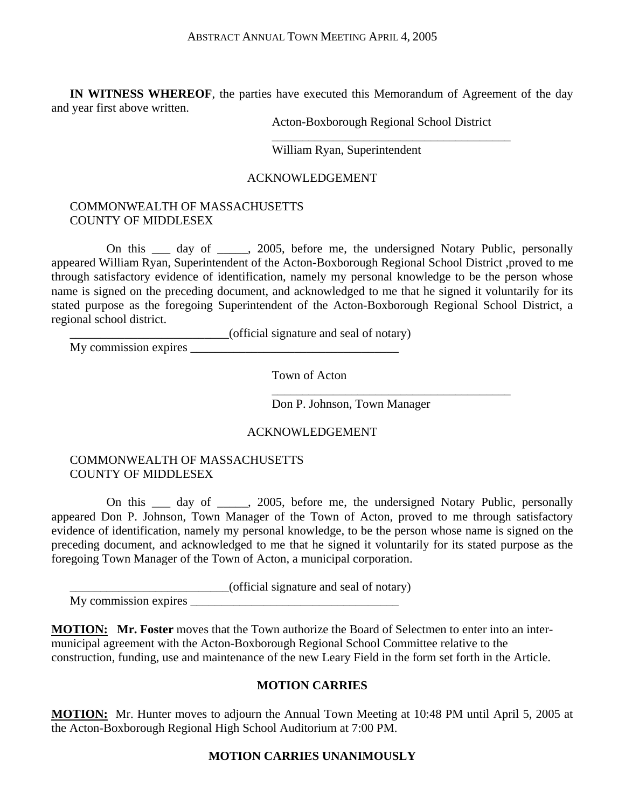**IN WITNESS WHEREOF**, the parties have executed this Memorandum of Agreement of the day and year first above written.

 $\overline{\phantom{a}}$  , and the contract of the contract of the contract of the contract of the contract of the contract of the contract of the contract of the contract of the contract of the contract of the contract of the contrac

Acton-Boxborough Regional School District

William Ryan, Superintendent

#### ACKNOWLEDGEMENT

#### COMMONWEALTH OF MASSACHUSETTS COUNTY OF MIDDLESEX

 On this \_\_\_ day of \_\_\_\_\_, 2005, before me, the undersigned Notary Public, personally appeared William Ryan, Superintendent of the Acton-Boxborough Regional School District ,proved to me through satisfactory evidence of identification, namely my personal knowledge to be the person whose name is signed on the preceding document, and acknowledged to me that he signed it voluntarily for its stated purpose as the foregoing Superintendent of the Acton-Boxborough Regional School District, a regional school district.

\_\_\_\_\_\_\_\_\_\_\_\_\_\_\_\_\_\_\_\_\_\_\_\_\_\_(official signature and seal of notary)

My commission expires  $\frac{1}{2}$  and  $\frac{1}{2}$  and  $\frac{1}{2}$  and  $\frac{1}{2}$  and  $\frac{1}{2}$  and  $\frac{1}{2}$  and  $\frac{1}{2}$  and  $\frac{1}{2}$  and  $\frac{1}{2}$  and  $\frac{1}{2}$  and  $\frac{1}{2}$  and  $\frac{1}{2}$  and  $\frac{1}{2}$  and  $\frac{1}{2}$  and  $\frac$ 

Town of Acton

 $\overline{\phantom{a}}$  , and the contract of the contract of the contract of the contract of the contract of the contract of the contract of the contract of the contract of the contract of the contract of the contract of the contrac

Don P. Johnson, Town Manager

#### ACKNOWLEDGEMENT

#### COMMONWEALTH OF MASSACHUSETTS COUNTY OF MIDDLESEX

 On this \_\_\_ day of \_\_\_\_\_, 2005, before me, the undersigned Notary Public, personally appeared Don P. Johnson, Town Manager of the Town of Acton, proved to me through satisfactory evidence of identification, namely my personal knowledge, to be the person whose name is signed on the preceding document, and acknowledged to me that he signed it voluntarily for its stated purpose as the foregoing Town Manager of the Town of Acton, a municipal corporation.

\_\_\_\_\_\_\_\_\_\_\_\_\_\_\_\_\_\_\_\_\_\_\_\_\_\_(official signature and seal of notary)

My commission expires

**MOTION: Mr. Foster** moves that the Town authorize the Board of Selectmen to enter into an intermunicipal agreement with the Acton-Boxborough Regional School Committee relative to the construction, funding, use and maintenance of the new Leary Field in the form set forth in the Article.

#### **MOTION CARRIES**

**MOTION:** Mr. Hunter moves to adjourn the Annual Town Meeting at 10:48 PM until April 5, 2005 at the Acton-Boxborough Regional High School Auditorium at 7:00 PM.

#### **MOTION CARRIES UNANIMOUSLY**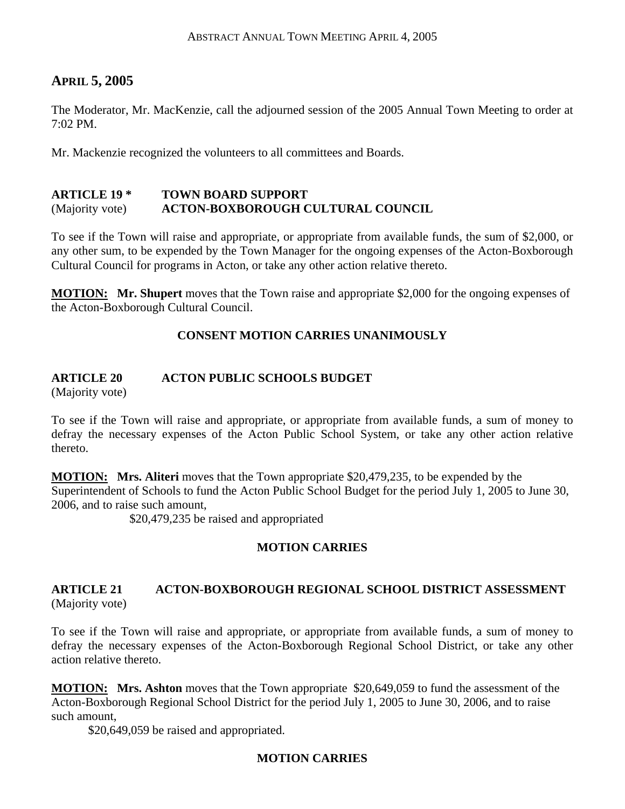# **APRIL 5, 2005**

The Moderator, Mr. MacKenzie, call the adjourned session of the 2005 Annual Town Meeting to order at 7:02 PM.

Mr. Mackenzie recognized the volunteers to all committees and Boards.

#### **ARTICLE 19 \* TOWN BOARD SUPPORT**  (Majority vote) **ACTON-BOXBOROUGH CULTURAL COUNCIL**

To see if the Town will raise and appropriate, or appropriate from available funds, the sum of \$2,000, or any other sum, to be expended by the Town Manager for the ongoing expenses of the Acton-Boxborough Cultural Council for programs in Acton, or take any other action relative thereto.

**MOTION: Mr. Shupert** moves that the Town raise and appropriate \$2,000 for the ongoing expenses of the Acton-Boxborough Cultural Council.

# **CONSENT MOTION CARRIES UNANIMOUSLY**

# **ARTICLE 20 ACTON PUBLIC SCHOOLS BUDGET**

(Majority vote)

To see if the Town will raise and appropriate, or appropriate from available funds, a sum of money to defray the necessary expenses of the Acton Public School System, or take any other action relative thereto.

**MOTION: Mrs. Aliteri** moves that the Town appropriate \$20,479,235, to be expended by the Superintendent of Schools to fund the Acton Public School Budget for the period July 1, 2005 to June 30, 2006, and to raise such amount,

\$20,479,235 be raised and appropriated

# **MOTION CARRIES**

#### **ARTICLE 21 ACTON-BOXBOROUGH REGIONAL SCHOOL DISTRICT ASSESSMENT**  (Majority vote)

To see if the Town will raise and appropriate, or appropriate from available funds, a sum of money to defray the necessary expenses of the Acton-Boxborough Regional School District, or take any other action relative thereto.

**MOTION: Mrs. Ashton** moves that the Town appropriate \$20,649,059 to fund the assessment of the Acton-Boxborough Regional School District for the period July 1, 2005 to June 30, 2006, and to raise such amount,

\$20,649,059 be raised and appropriated.

# **MOTION CARRIES**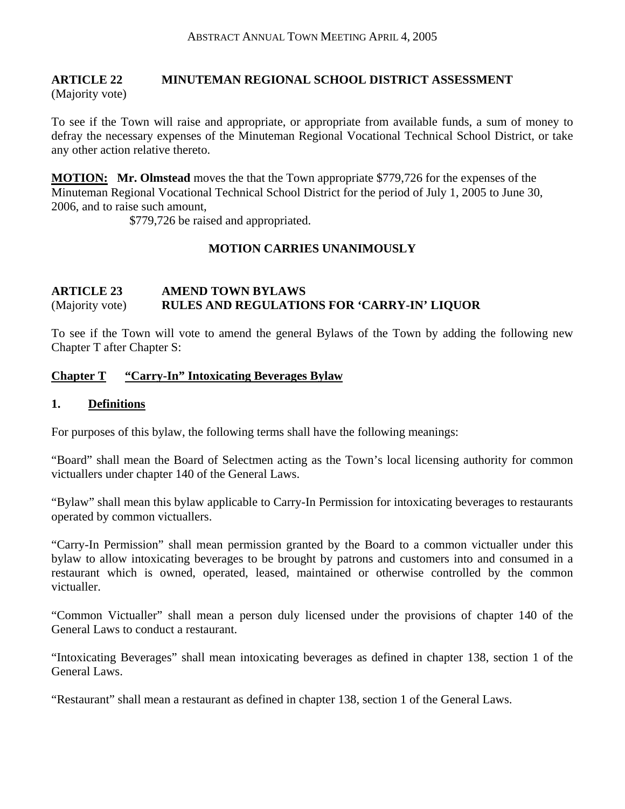# **ARTICLE 22 MINUTEMAN REGIONAL SCHOOL DISTRICT ASSESSMENT**

(Majority vote)

To see if the Town will raise and appropriate, or appropriate from available funds, a sum of money to defray the necessary expenses of the Minuteman Regional Vocational Technical School District, or take any other action relative thereto.

**MOTION: Mr. Olmstead** moves the that the Town appropriate \$779,726 for the expenses of the Minuteman Regional Vocational Technical School District for the period of July 1, 2005 to June 30, 2006, and to raise such amount,

\$779,726 be raised and appropriated.

# **MOTION CARRIES UNANIMOUSLY**

# **ARTICLE 23 AMEND TOWN BYLAWS**  (Majority vote) **RULES AND REGULATIONS FOR 'CARRY-IN' LIQUOR**

To see if the Town will vote to amend the general Bylaws of the Town by adding the following new Chapter T after Chapter S:

# **Chapter T "Carry-In" Intoxicating Beverages Bylaw**

# **1. Definitions**

For purposes of this bylaw, the following terms shall have the following meanings:

"Board" shall mean the Board of Selectmen acting as the Town's local licensing authority for common victuallers under chapter 140 of the General Laws.

"Bylaw" shall mean this bylaw applicable to Carry-In Permission for intoxicating beverages to restaurants operated by common victuallers.

"Carry-In Permission" shall mean permission granted by the Board to a common victualler under this bylaw to allow intoxicating beverages to be brought by patrons and customers into and consumed in a restaurant which is owned, operated, leased, maintained or otherwise controlled by the common victualler.

"Common Victualler" shall mean a person duly licensed under the provisions of chapter 140 of the General Laws to conduct a restaurant.

"Intoxicating Beverages" shall mean intoxicating beverages as defined in chapter 138, section 1 of the General Laws.

"Restaurant" shall mean a restaurant as defined in chapter 138, section 1 of the General Laws.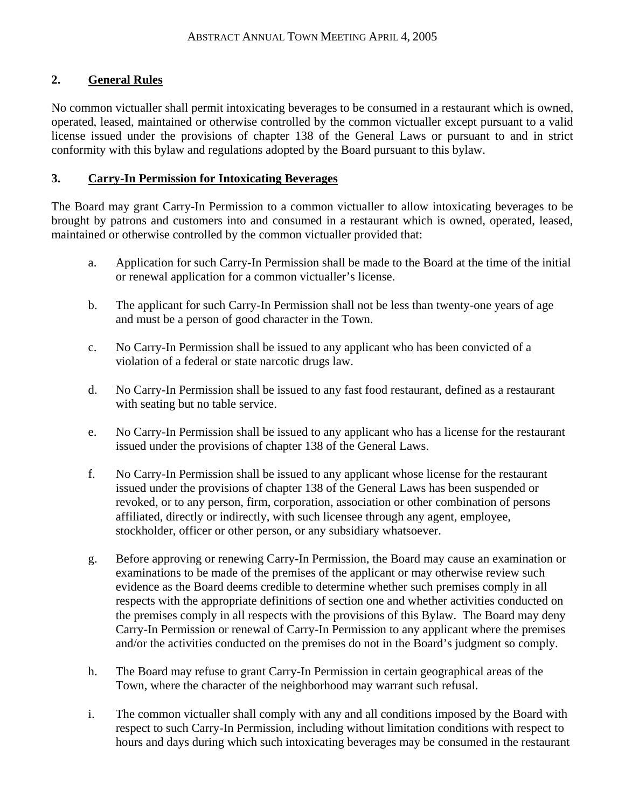# **2. General Rules**

No common victualler shall permit intoxicating beverages to be consumed in a restaurant which is owned, operated, leased, maintained or otherwise controlled by the common victualler except pursuant to a valid license issued under the provisions of chapter 138 of the General Laws or pursuant to and in strict conformity with this bylaw and regulations adopted by the Board pursuant to this bylaw.

#### **3. Carry-In Permission for Intoxicating Beverages**

The Board may grant Carry-In Permission to a common victualler to allow intoxicating beverages to be brought by patrons and customers into and consumed in a restaurant which is owned, operated, leased, maintained or otherwise controlled by the common victualler provided that:

- a. Application for such Carry-In Permission shall be made to the Board at the time of the initial or renewal application for a common victualler's license.
- b. The applicant for such Carry-In Permission shall not be less than twenty-one years of age and must be a person of good character in the Town.
- c. No Carry-In Permission shall be issued to any applicant who has been convicted of a violation of a federal or state narcotic drugs law.
- d. No Carry-In Permission shall be issued to any fast food restaurant, defined as a restaurant with seating but no table service.
- e. No Carry-In Permission shall be issued to any applicant who has a license for the restaurant issued under the provisions of chapter 138 of the General Laws.
- f. No Carry-In Permission shall be issued to any applicant whose license for the restaurant issued under the provisions of chapter 138 of the General Laws has been suspended or revoked, or to any person, firm, corporation, association or other combination of persons affiliated, directly or indirectly, with such licensee through any agent, employee, stockholder, officer or other person, or any subsidiary whatsoever.
- g. Before approving or renewing Carry-In Permission, the Board may cause an examination or examinations to be made of the premises of the applicant or may otherwise review such evidence as the Board deems credible to determine whether such premises comply in all respects with the appropriate definitions of section one and whether activities conducted on the premises comply in all respects with the provisions of this Bylaw. The Board may deny Carry-In Permission or renewal of Carry-In Permission to any applicant where the premises and/or the activities conducted on the premises do not in the Board's judgment so comply.
- h. The Board may refuse to grant Carry-In Permission in certain geographical areas of the Town, where the character of the neighborhood may warrant such refusal.
- i. The common victualler shall comply with any and all conditions imposed by the Board with respect to such Carry-In Permission, including without limitation conditions with respect to hours and days during which such intoxicating beverages may be consumed in the restaurant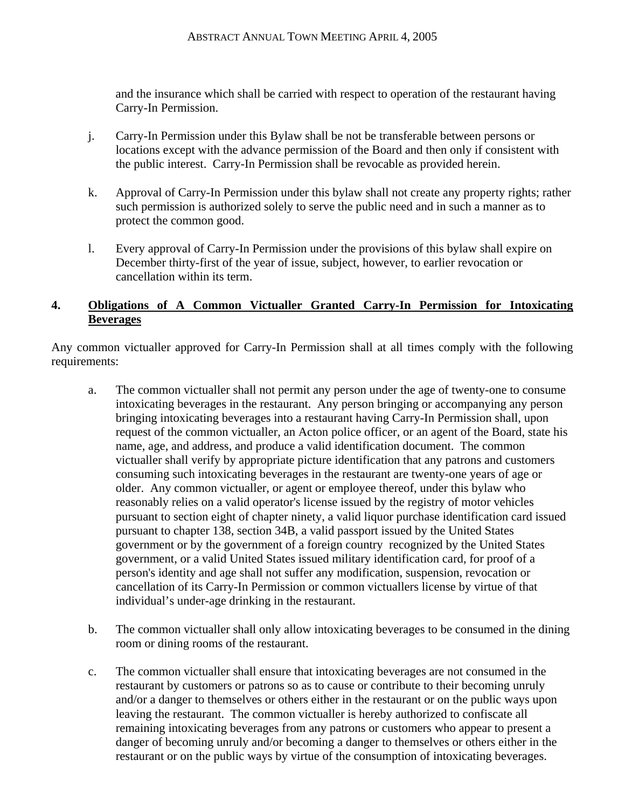and the insurance which shall be carried with respect to operation of the restaurant having Carry-In Permission.

- j. Carry-In Permission under this Bylaw shall be not be transferable between persons or locations except with the advance permission of the Board and then only if consistent with the public interest. Carry-In Permission shall be revocable as provided herein.
- k. Approval of Carry-In Permission under this bylaw shall not create any property rights; rather such permission is authorized solely to serve the public need and in such a manner as to protect the common good.
- l. Every approval of Carry-In Permission under the provisions of this bylaw shall expire on December thirty-first of the year of issue, subject, however, to earlier revocation or cancellation within its term.

### **4. Obligations of A Common Victualler Granted Carry-In Permission for Intoxicating Beverages**

Any common victualler approved for Carry-In Permission shall at all times comply with the following requirements:

- a. The common victualler shall not permit any person under the age of twenty-one to consume intoxicating beverages in the restaurant. Any person bringing or accompanying any person bringing intoxicating beverages into a restaurant having Carry-In Permission shall, upon request of the common victualler, an Acton police officer, or an agent of the Board, state his name, age, and address, and produce a valid identification document. The common victualler shall verify by appropriate picture identification that any patrons and customers consuming such intoxicating beverages in the restaurant are twenty-one years of age or older. Any common victualler, or agent or employee thereof, under this bylaw who reasonably relies on a valid operator's license issued by the registry of motor vehicles pursuant to section eight of chapter ninety, a valid liquor purchase identification card issued pursuant to chapter 138, section 34B, a valid passport issued by the United States government or by the government of a foreign country recognized by the United States government, or a valid United States issued military identification card, for proof of a person's identity and age shall not suffer any modification, suspension, revocation or cancellation of its Carry-In Permission or common victuallers license by virtue of that individual's under-age drinking in the restaurant.
- b. The common victualler shall only allow intoxicating beverages to be consumed in the dining room or dining rooms of the restaurant.
- c. The common victualler shall ensure that intoxicating beverages are not consumed in the restaurant by customers or patrons so as to cause or contribute to their becoming unruly and/or a danger to themselves or others either in the restaurant or on the public ways upon leaving the restaurant. The common victualler is hereby authorized to confiscate all remaining intoxicating beverages from any patrons or customers who appear to present a danger of becoming unruly and/or becoming a danger to themselves or others either in the restaurant or on the public ways by virtue of the consumption of intoxicating beverages.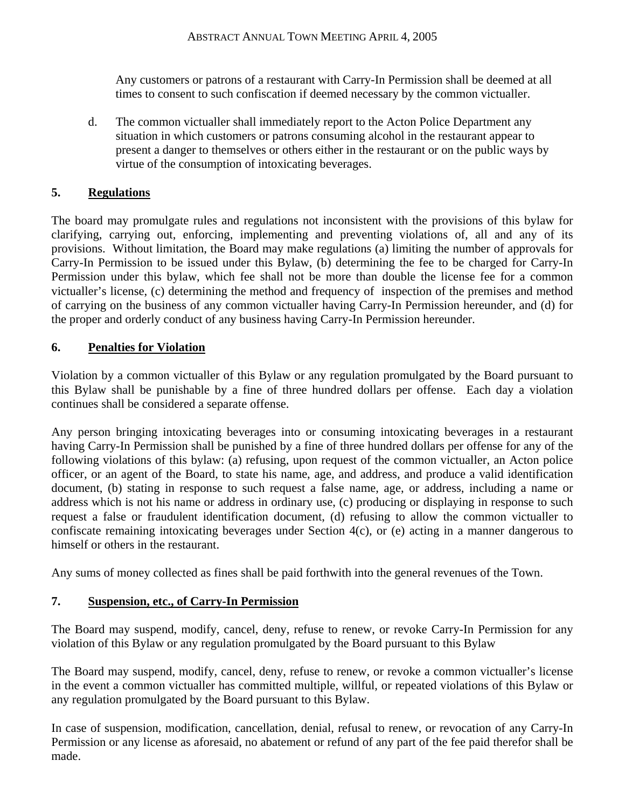Any customers or patrons of a restaurant with Carry-In Permission shall be deemed at all times to consent to such confiscation if deemed necessary by the common victualler.

d. The common victualler shall immediately report to the Acton Police Department any situation in which customers or patrons consuming alcohol in the restaurant appear to present a danger to themselves or others either in the restaurant or on the public ways by virtue of the consumption of intoxicating beverages.

# **5. Regulations**

The board may promulgate rules and regulations not inconsistent with the provisions of this bylaw for clarifying, carrying out, enforcing, implementing and preventing violations of, all and any of its provisions. Without limitation, the Board may make regulations (a) limiting the number of approvals for Carry-In Permission to be issued under this Bylaw, (b) determining the fee to be charged for Carry-In Permission under this bylaw, which fee shall not be more than double the license fee for a common victualler's license, (c) determining the method and frequency of inspection of the premises and method of carrying on the business of any common victualler having Carry-In Permission hereunder, and (d) for the proper and orderly conduct of any business having Carry-In Permission hereunder.

# **6. Penalties for Violation**

Violation by a common victualler of this Bylaw or any regulation promulgated by the Board pursuant to this Bylaw shall be punishable by a fine of three hundred dollars per offense. Each day a violation continues shall be considered a separate offense.

Any person bringing intoxicating beverages into or consuming intoxicating beverages in a restaurant having Carry-In Permission shall be punished by a fine of three hundred dollars per offense for any of the following violations of this bylaw: (a) refusing, upon request of the common victualler, an Acton police officer, or an agent of the Board, to state his name, age, and address, and produce a valid identification document, (b) stating in response to such request a false name, age, or address, including a name or address which is not his name or address in ordinary use, (c) producing or displaying in response to such request a false or fraudulent identification document, (d) refusing to allow the common victualler to confiscate remaining intoxicating beverages under Section 4(c), or (e) acting in a manner dangerous to himself or others in the restaurant.

Any sums of money collected as fines shall be paid forthwith into the general revenues of the Town.

# **7. Suspension, etc., of Carry-In Permission**

The Board may suspend, modify, cancel, deny, refuse to renew, or revoke Carry-In Permission for any violation of this Bylaw or any regulation promulgated by the Board pursuant to this Bylaw

The Board may suspend, modify, cancel, deny, refuse to renew, or revoke a common victualler's license in the event a common victualler has committed multiple, willful, or repeated violations of this Bylaw or any regulation promulgated by the Board pursuant to this Bylaw.

In case of suspension, modification, cancellation, denial, refusal to renew, or revocation of any Carry-In Permission or any license as aforesaid, no abatement or refund of any part of the fee paid therefor shall be made.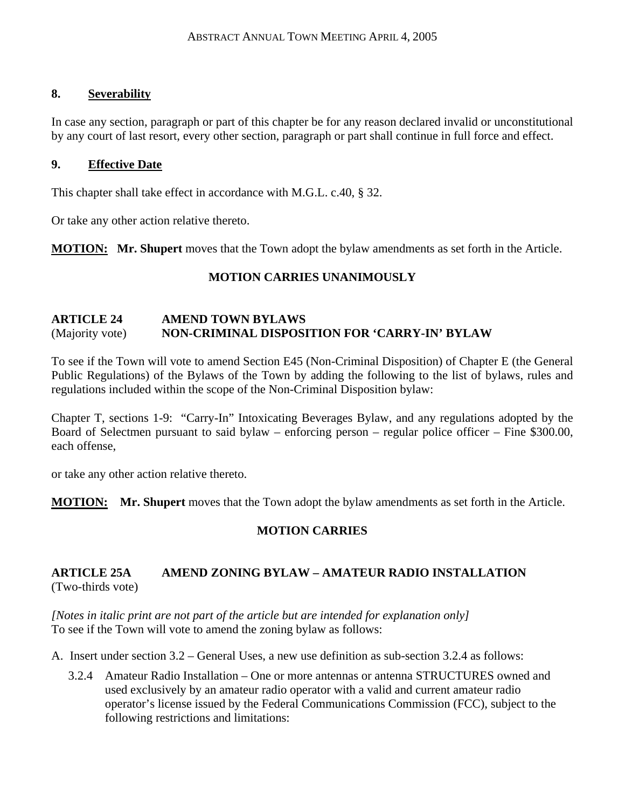#### **8. Severability**

In case any section, paragraph or part of this chapter be for any reason declared invalid or unconstitutional by any court of last resort, every other section, paragraph or part shall continue in full force and effect.

#### **9. Effective Date**

This chapter shall take effect in accordance with M.G.L. c.40, § 32.

Or take any other action relative thereto.

**MOTION: Mr. Shupert** moves that the Town adopt the bylaw amendments as set forth in the Article.

# **MOTION CARRIES UNANIMOUSLY**

#### **ARTICLE 24 AMEND TOWN BYLAWS**  (Majority vote) **NON-CRIMINAL DISPOSITION FOR 'CARRY-IN' BYLAW**

To see if the Town will vote to amend Section E45 (Non-Criminal Disposition) of Chapter E (the General Public Regulations) of the Bylaws of the Town by adding the following to the list of bylaws, rules and regulations included within the scope of the Non-Criminal Disposition bylaw:

Chapter T, sections 1-9: "Carry-In" Intoxicating Beverages Bylaw, and any regulations adopted by the Board of Selectmen pursuant to said bylaw – enforcing person – regular police officer – Fine \$300.00, each offense,

or take any other action relative thereto.

**MOTION: Mr. Shupert** moves that the Town adopt the bylaw amendments as set forth in the Article.

# **MOTION CARRIES**

#### **ARTICLE 25A AMEND ZONING BYLAW – AMATEUR RADIO INSTALLATION**  (Two-thirds vote)

*[Notes in italic print are not part of the article but are intended for explanation only]* To see if the Town will vote to amend the zoning bylaw as follows:

- A. Insert under section 3.2 General Uses, a new use definition as sub-section 3.2.4 as follows:
	- 3.2.4 Amateur Radio Installation One or more antennas or antenna STRUCTURES owned and used exclusively by an amateur radio operator with a valid and current amateur radio operator's license issued by the Federal Communications Commission (FCC), subject to the following restrictions and limitations: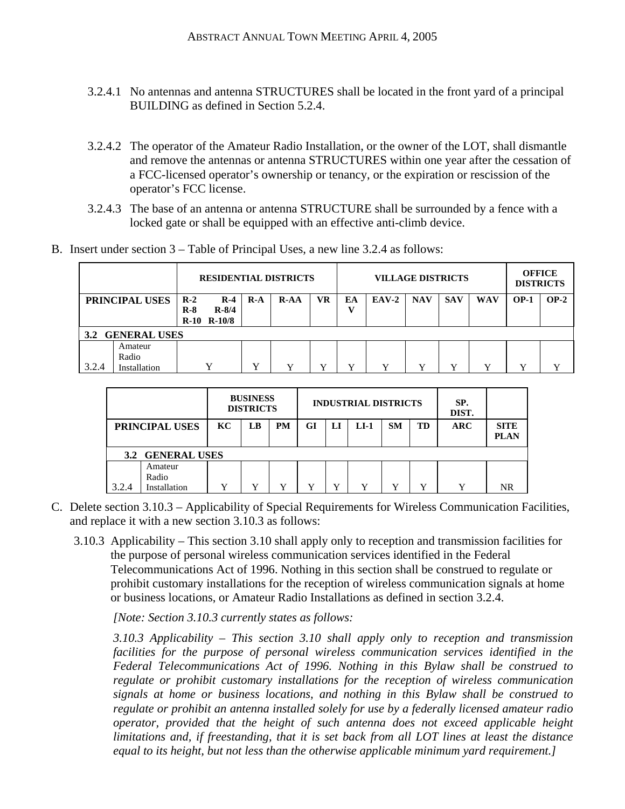- 3.2.4.1 No antennas and antenna STRUCTURES shall be located in the front yard of a principal BUILDING as defined in Section 5.2.4.
- 3.2.4.2 The operator of the Amateur Radio Installation, or the owner of the LOT, shall dismantle and remove the antennas or antenna STRUCTURES within one year after the cessation of a FCC-licensed operator's ownership or tenancy, or the expiration or rescission of the operator's FCC license.
- 3.2.4.3 The base of an antenna or antenna STRUCTURE shall be surrounded by a fence with a locked gate or shall be equipped with an effective anti-climb device.
- B. Insert under section 3 Table of Principal Uses, a new line 3.2.4 as follows:

| <b>RESIDENTIAL DISTRICTS</b> |                                  |                |                                       |             |        |           | <b>VILLAGE DISTRICTS</b> |         |              | <b>OFFICE</b><br><b>DISTRICTS</b> |              |              |        |
|------------------------------|----------------------------------|----------------|---------------------------------------|-------------|--------|-----------|--------------------------|---------|--------------|-----------------------------------|--------------|--------------|--------|
|                              | PRINCIPAL USES                   | $R-2$<br>$R-8$ | $R-4$<br>$R - 8/4$<br>$R-10$ $R-10/8$ | $R-A$       | $R-AA$ | <b>VR</b> | ЕA                       | $EAV-2$ | <b>NAV</b>   | <b>SAV</b>                        | <b>WAV</b>   | $OP-1$       | $OP-2$ |
| $3.2^{\circ}$                | <b>GENERAL USES</b>              |                |                                       |             |        |           |                          |         |              |                                   |              |              |        |
| 3.2.4                        | Amateur<br>Radio<br>Installation |                | $\mathbf{v}$                          | $\mathbf v$ |        |           | v                        | v       | $\mathbf{v}$ | $\mathbf v$                       | $\mathbf{v}$ | $\mathbf{v}$ | v      |

|       |                                  |    | <b>BUSINESS</b><br><b>DISTRICTS</b> |           |    |    | <b>INDUSTRIAL DISTRICTS</b> |             |    | SP.<br>DIST. |                            |
|-------|----------------------------------|----|-------------------------------------|-----------|----|----|-----------------------------|-------------|----|--------------|----------------------------|
|       | PRINCIPAL USES                   | KC | LB                                  | <b>PM</b> | GI | LI | $LI-1$                      | <b>SM</b>   | TD | <b>ARC</b>   | <b>SITE</b><br><b>PLAN</b> |
|       | 3.2 GENERAL USES                 |    |                                     |           |    |    |                             |             |    |              |                            |
| 3.2.4 | Amateur<br>Radio<br>Installation | v  | v                                   | v         | Y  | v  | v                           | $\mathbf v$ | v  | v            | NR                         |

- C. Delete section 3.10.3 Applicability of Special Requirements for Wireless Communication Facilities, and replace it with a new section 3.10.3 as follows:
	- 3.10.3 Applicability This section 3.10 shall apply only to reception and transmission facilities for the purpose of personal wireless communication services identified in the Federal Telecommunications Act of 1996. Nothing in this section shall be construed to regulate or prohibit customary installations for the reception of wireless communication signals at home or business locations, or Amateur Radio Installations as defined in section 3.2.4.

*[Note: Section 3.10.3 currently states as follows:* 

*3.10.3 Applicability – This section 3.10 shall apply only to reception and transmission facilities for the purpose of personal wireless communication services identified in the Federal Telecommunications Act of 1996. Nothing in this Bylaw shall be construed to regulate or prohibit customary installations for the reception of wireless communication signals at home or business locations, and nothing in this Bylaw shall be construed to regulate or prohibit an antenna installed solely for use by a federally licensed amateur radio operator, provided that the height of such antenna does not exceed applicable height limitations and, if freestanding, that it is set back from all LOT lines at least the distance equal to its height, but not less than the otherwise applicable minimum yard requirement.]*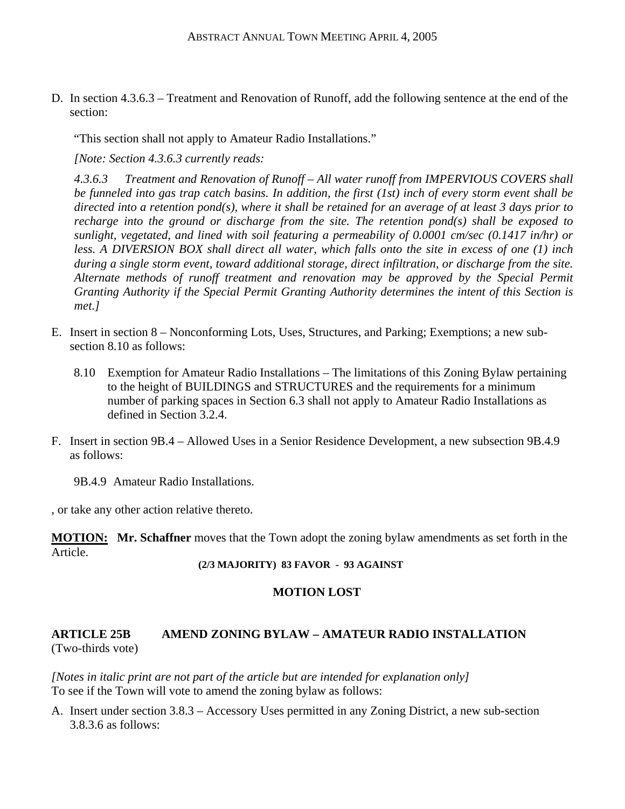D. In section 4.3.6.3 – Treatment and Renovation of Runoff, add the following sentence at the end of the section:

"This section shall not apply to Amateur Radio Installations."

*[Note: Section 4.3.6.3 currently reads:* 

*4.3.6.3 Treatment and Renovation of Runoff – All water runoff from IMPERVIOUS COVERS shall be funneled into gas trap catch basins. In addition, the first (1st) inch of every storm event shall be directed into a retention pond(s), where it shall be retained for an average of at least 3 days prior to recharge into the ground or discharge from the site. The retention pond(s) shall be exposed to sunlight, vegetated, and lined with soil featuring a permeability of 0.0001 cm/sec (0.1417 in/hr) or less. A DIVERSION BOX shall direct all water, which falls onto the site in excess of one (1) inch during a single storm event, toward additional storage, direct infiltration, or discharge from the site. Alternate methods of runoff treatment and renovation may be approved by the Special Permit Granting Authority if the Special Permit Granting Authority determines the intent of this Section is met.]* 

- E. Insert in section 8 Nonconforming Lots, Uses, Structures, and Parking; Exemptions; a new subsection 8.10 as follows:
	- 8.10 Exemption for Amateur Radio Installations The limitations of this Zoning Bylaw pertaining to the height of BUILDINGS and STRUCTURES and the requirements for a minimum number of parking spaces in Section 6.3 shall not apply to Amateur Radio Installations as defined in Section 3.2.4.
- F. Insert in section 9B.4 Allowed Uses in a Senior Residence Development, a new subsection 9B.4.9 as follows:
	- 9B.4.9 Amateur Radio Installations.

, or take any other action relative thereto.

**MOTION: Mr. Schaffner** moves that the Town adopt the zoning bylaw amendments as set forth in the Article.

#### **(2/3 MAJORITY) 83 FAVOR - 93 AGAINST**

#### **MOTION LOST**

# **ARTICLE 25B AMEND ZONING BYLAW – AMATEUR RADIO INSTALLATION**  (Two-thirds vote)

*[Notes in italic print are not part of the article but are intended for explanation only]* To see if the Town will vote to amend the zoning bylaw as follows:

A. Insert under section 3.8.3 – Accessory Uses permitted in any Zoning District, a new sub-section 3.8.3.6 as follows: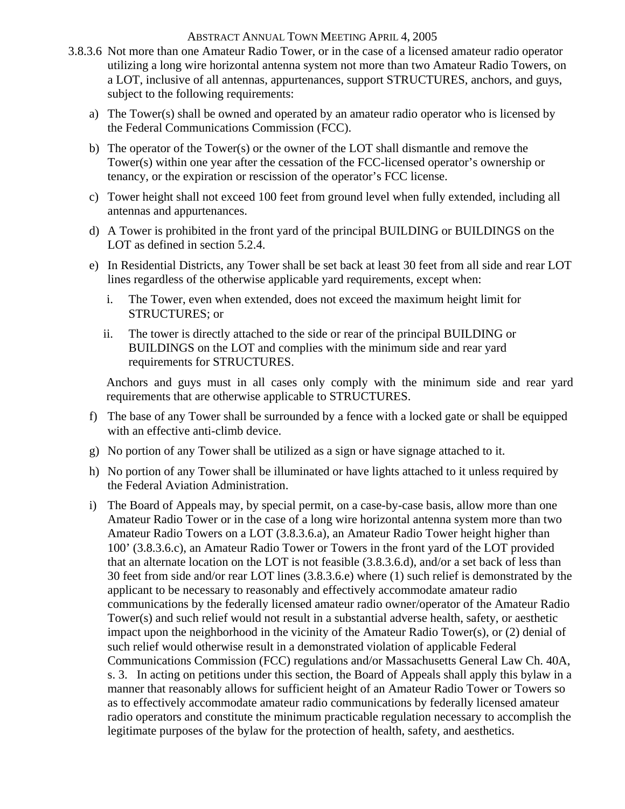- 3.8.3.6 Not more than one Amateur Radio Tower, or in the case of a licensed amateur radio operator utilizing a long wire horizontal antenna system not more than two Amateur Radio Towers, on a LOT, inclusive of all antennas, appurtenances, support STRUCTURES, anchors, and guys, subject to the following requirements:
	- a) The Tower(s) shall be owned and operated by an amateur radio operator who is licensed by the Federal Communications Commission (FCC).
	- b) The operator of the Tower(s) or the owner of the LOT shall dismantle and remove the Tower(s) within one year after the cessation of the FCC-licensed operator's ownership or tenancy, or the expiration or rescission of the operator's FCC license.
	- c) Tower height shall not exceed 100 feet from ground level when fully extended, including all antennas and appurtenances.
	- d) A Tower is prohibited in the front yard of the principal BUILDING or BUILDINGS on the LOT as defined in section 5.2.4.
	- e) In Residential Districts, any Tower shall be set back at least 30 feet from all side and rear LOT lines regardless of the otherwise applicable yard requirements, except when:
		- i. The Tower, even when extended, does not exceed the maximum height limit for STRUCTURES; or
		- ii. The tower is directly attached to the side or rear of the principal BUILDING or BUILDINGS on the LOT and complies with the minimum side and rear yard requirements for STRUCTURES.

Anchors and guys must in all cases only comply with the minimum side and rear yard requirements that are otherwise applicable to STRUCTURES.

- f) The base of any Tower shall be surrounded by a fence with a locked gate or shall be equipped with an effective anti-climb device.
- g) No portion of any Tower shall be utilized as a sign or have signage attached to it.
- h) No portion of any Tower shall be illuminated or have lights attached to it unless required by the Federal Aviation Administration.
- i) The Board of Appeals may, by special permit, on a case-by-case basis, allow more than one Amateur Radio Tower or in the case of a long wire horizontal antenna system more than two Amateur Radio Towers on a LOT (3.8.3.6.a), an Amateur Radio Tower height higher than 100' (3.8.3.6.c), an Amateur Radio Tower or Towers in the front yard of the LOT provided that an alternate location on the LOT is not feasible (3.8.3.6.d), and/or a set back of less than 30 feet from side and/or rear LOT lines (3.8.3.6.e) where (1) such relief is demonstrated by the applicant to be necessary to reasonably and effectively accommodate amateur radio communications by the federally licensed amateur radio owner/operator of the Amateur Radio Tower(s) and such relief would not result in a substantial adverse health, safety, or aesthetic impact upon the neighborhood in the vicinity of the Amateur Radio Tower(s), or (2) denial of such relief would otherwise result in a demonstrated violation of applicable Federal Communications Commission (FCC) regulations and/or Massachusetts General Law Ch. 40A, s. 3. In acting on petitions under this section, the Board of Appeals shall apply this bylaw in a manner that reasonably allows for sufficient height of an Amateur Radio Tower or Towers so as to effectively accommodate amateur radio communications by federally licensed amateur radio operators and constitute the minimum practicable regulation necessary to accomplish the legitimate purposes of the bylaw for the protection of health, safety, and aesthetics.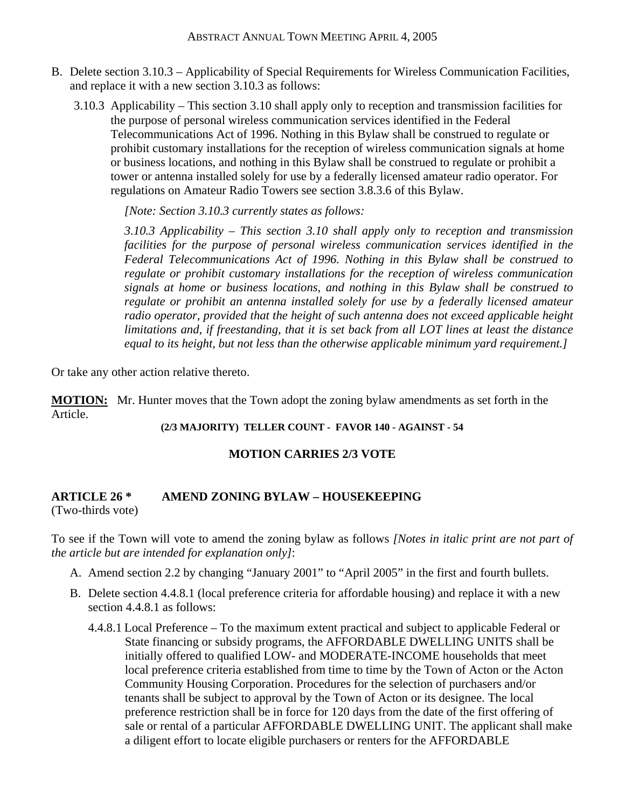- B. Delete section 3.10.3 Applicability of Special Requirements for Wireless Communication Facilities, and replace it with a new section 3.10.3 as follows:
	- 3.10.3 Applicability This section 3.10 shall apply only to reception and transmission facilities for the purpose of personal wireless communication services identified in the Federal Telecommunications Act of 1996. Nothing in this Bylaw shall be construed to regulate or prohibit customary installations for the reception of wireless communication signals at home or business locations, and nothing in this Bylaw shall be construed to regulate or prohibit a tower or antenna installed solely for use by a federally licensed amateur radio operator. For regulations on Amateur Radio Towers see section 3.8.3.6 of this Bylaw.

*[Note: Section 3.10.3 currently states as follows:* 

*3.10.3 Applicability – This section 3.10 shall apply only to reception and transmission*  facilities for the purpose of personal wireless communication services identified in the *Federal Telecommunications Act of 1996. Nothing in this Bylaw shall be construed to regulate or prohibit customary installations for the reception of wireless communication signals at home or business locations, and nothing in this Bylaw shall be construed to regulate or prohibit an antenna installed solely for use by a federally licensed amateur radio operator, provided that the height of such antenna does not exceed applicable height limitations and, if freestanding, that it is set back from all LOT lines at least the distance equal to its height, but not less than the otherwise applicable minimum yard requirement.]* 

Or take any other action relative thereto.

**MOTION:** Mr. Hunter moves that the Town adopt the zoning bylaw amendments as set forth in the Article.

**(2/3 MAJORITY) TELLER COUNT - FAVOR 140 - AGAINST - 54** 

# **MOTION CARRIES 2/3 VOTE**

# **ARTICLE 26 \* AMEND ZONING BYLAW – HOUSEKEEPING**

(Two-thirds vote)

To see if the Town will vote to amend the zoning bylaw as follows *[Notes in italic print are not part of the article but are intended for explanation only]*:

- A. Amend section 2.2 by changing "January 2001" to "April 2005" in the first and fourth bullets.
- B. Delete section 4.4.8.1 (local preference criteria for affordable housing) and replace it with a new section 4.4.8.1 as follows:
	- 4.4.8.1 Local Preference To the maximum extent practical and subject to applicable Federal or State financing or subsidy programs, the AFFORDABLE DWELLING UNITS shall be initially offered to qualified LOW- and MODERATE-INCOME households that meet local preference criteria established from time to time by the Town of Acton or the Acton Community Housing Corporation. Procedures for the selection of purchasers and/or tenants shall be subject to approval by the Town of Acton or its designee. The local preference restriction shall be in force for 120 days from the date of the first offering of sale or rental of a particular AFFORDABLE DWELLING UNIT. The applicant shall make a diligent effort to locate eligible purchasers or renters for the AFFORDABLE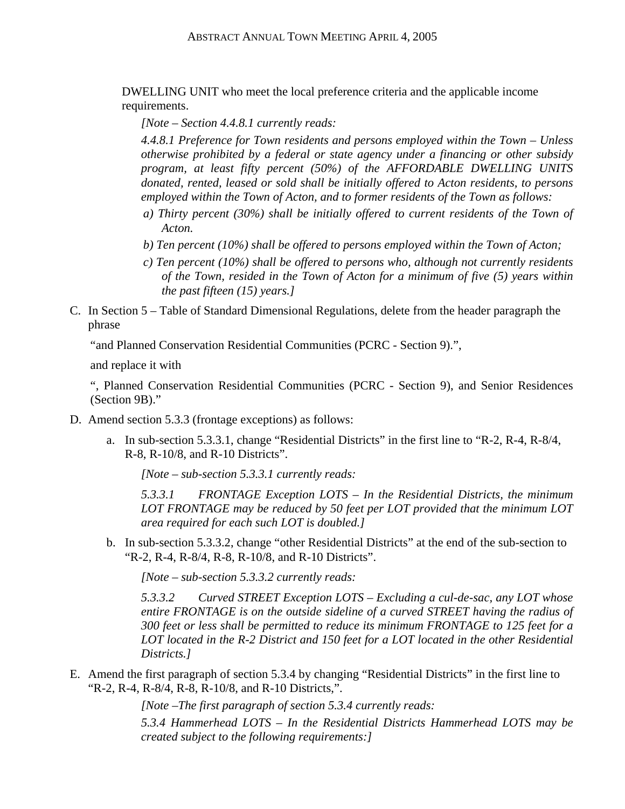DWELLING UNIT who meet the local preference criteria and the applicable income requirements.

*[Note – Section 4.4.8.1 currently reads:* 

*4.4.8.1 Preference for Town residents and persons employed within the Town – Unless otherwise prohibited by a federal or state agency under a financing or other subsidy program, at least fifty percent (50%) of the AFFORDABLE DWELLING UNITS donated, rented, leased or sold shall be initially offered to Acton residents, to persons employed within the Town of Acton, and to former residents of the Town as follows:* 

- *a) Thirty percent (30%) shall be initially offered to current residents of the Town of Acton.*
- *b) Ten percent (10%) shall be offered to persons employed within the Town of Acton;*
- *c) Ten percent (10%) shall be offered to persons who, although not currently residents of the Town, resided in the Town of Acton for a minimum of five (5) years within the past fifteen (15) years.]*
- C. In Section 5 Table of Standard Dimensional Regulations, delete from the header paragraph the phrase

"and Planned Conservation Residential Communities (PCRC - Section 9).",

and replace it with

", Planned Conservation Residential Communities (PCRC - Section 9), and Senior Residences (Section 9B)."

- D. Amend section 5.3.3 (frontage exceptions) as follows:
	- a. In sub-section 5.3.3.1, change "Residential Districts" in the first line to "R-2, R-4, R-8/4, R-8, R-10/8, and R-10 Districts".

*[Note – sub-section 5.3.3.1 currently reads:* 

*5.3.3.1 FRONTAGE Exception LOTS – In the Residential Districts, the minimum LOT FRONTAGE may be reduced by 50 feet per LOT provided that the minimum LOT area required for each such LOT is doubled.]* 

b. In sub-section 5.3.3.2, change "other Residential Districts" at the end of the sub-section to "R-2, R-4, R-8/4, R-8, R-10/8, and R-10 Districts".

*[Note – sub-section 5.3.3.2 currently reads:* 

*5.3.3.2 Curved STREET Exception LOTS – Excluding a cul-de-sac, any LOT whose entire FRONTAGE is on the outside sideline of a curved STREET having the radius of 300 feet or less shall be permitted to reduce its minimum FRONTAGE to 125 feet for a LOT located in the R-2 District and 150 feet for a LOT located in the other Residential Districts.]* 

E. Amend the first paragraph of section 5.3.4 by changing "Residential Districts" in the first line to "R-2, R-4, R-8/4, R-8, R-10/8, and R-10 Districts,".

*[Note –The first paragraph of section 5.3.4 currently reads:* 

*5.3.4 Hammerhead LOTS – In the Residential Districts Hammerhead LOTS may be created subject to the following requirements:]*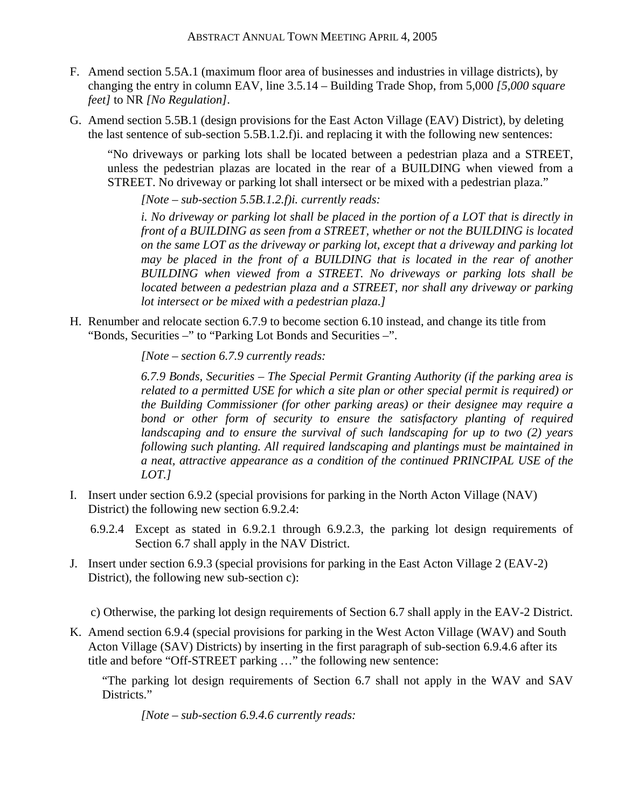- F. Amend section 5.5A.1 (maximum floor area of businesses and industries in village districts), by changing the entry in column EAV, line 3.5.14 – Building Trade Shop, from 5,000 *[5,000 square feet]* to NR *[No Regulation]*.
- G. Amend section 5.5B.1 (design provisions for the East Acton Village (EAV) District), by deleting the last sentence of sub-section 5.5B.1.2.f)i. and replacing it with the following new sentences:

"No driveways or parking lots shall be located between a pedestrian plaza and a STREET, unless the pedestrian plazas are located in the rear of a BUILDING when viewed from a STREET. No driveway or parking lot shall intersect or be mixed with a pedestrian plaza."

*[Note – sub-section 5.5B.1.2.f)i. currently reads:* 

*i. No driveway or parking lot shall be placed in the portion of a LOT that is directly in front of a BUILDING as seen from a STREET, whether or not the BUILDING is located on the same LOT as the driveway or parking lot, except that a driveway and parking lot may be placed in the front of a BUILDING that is located in the rear of another BUILDING when viewed from a STREET. No driveways or parking lots shall be located between a pedestrian plaza and a STREET, nor shall any driveway or parking lot intersect or be mixed with a pedestrian plaza.]* 

H. Renumber and relocate section 6.7.9 to become section 6.10 instead, and change its title from "Bonds, Securities –" to "Parking Lot Bonds and Securities –".

*[Note – section 6.7.9 currently reads:* 

*6.7.9 Bonds, Securities – The Special Permit Granting Authority (if the parking area is related to a permitted USE for which a site plan or other special permit is required) or the Building Commissioner (for other parking areas) or their designee may require a bond or other form of security to ensure the satisfactory planting of required landscaping and to ensure the survival of such landscaping for up to two (2) years following such planting. All required landscaping and plantings must be maintained in a neat, attractive appearance as a condition of the continued PRINCIPAL USE of the LOT.]* 

- I. Insert under section 6.9.2 (special provisions for parking in the North Acton Village (NAV) District) the following new section 6.9.2.4:
	- 6.9.2.4 Except as stated in 6.9.2.1 through 6.9.2.3, the parking lot design requirements of Section 6.7 shall apply in the NAV District.
- J. Insert under section 6.9.3 (special provisions for parking in the East Acton Village 2 (EAV-2) District), the following new sub-section c):

c) Otherwise, the parking lot design requirements of Section 6.7 shall apply in the EAV-2 District.

K. Amend section 6.9.4 (special provisions for parking in the West Acton Village (WAV) and South Acton Village (SAV) Districts) by inserting in the first paragraph of sub-section 6.9.4.6 after its title and before "Off-STREET parking …" the following new sentence:

"The parking lot design requirements of Section 6.7 shall not apply in the WAV and SAV Districts."

*[Note – sub-section 6.9.4.6 currently reads:*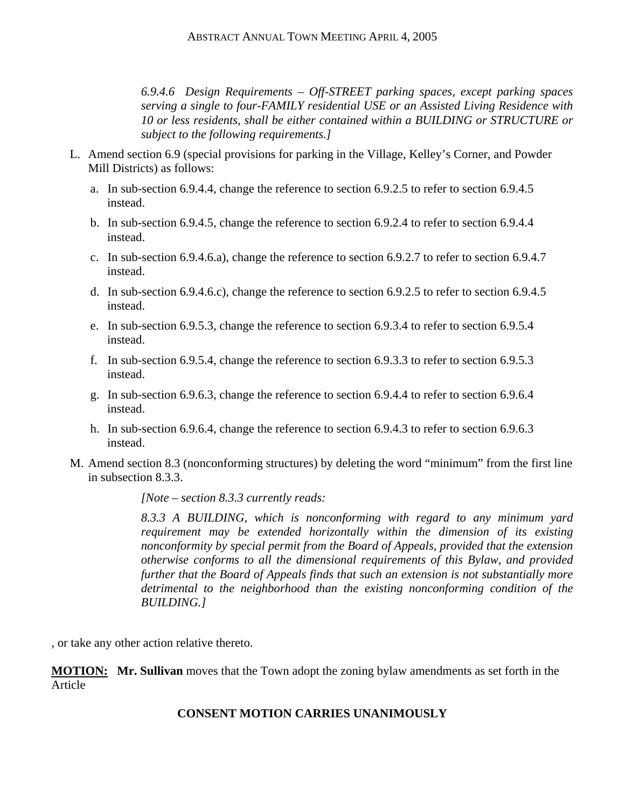*6.9.4.6 Design Requirements – Off-STREET parking spaces, except parking spaces serving a single to four-FAMILY residential USE or an Assisted Living Residence with 10 or less residents, shall be either contained within a BUILDING or STRUCTURE or subject to the following requirements.]* 

- L. Amend section 6.9 (special provisions for parking in the Village, Kelley's Corner, and Powder Mill Districts) as follows:
	- a. In sub-section 6.9.4.4, change the reference to section 6.9.2.5 to refer to section 6.9.4.5 instead.
	- b. In sub-section 6.9.4.5, change the reference to section 6.9.2.4 to refer to section 6.9.4.4 instead.
	- c. In sub-section 6.9.4.6.a), change the reference to section 6.9.2.7 to refer to section 6.9.4.7 instead.
	- d. In sub-section 6.9.4.6.c), change the reference to section 6.9.2.5 to refer to section 6.9.4.5 instead.
	- e. In sub-section 6.9.5.3, change the reference to section 6.9.3.4 to refer to section 6.9.5.4 instead.
	- f. In sub-section 6.9.5.4, change the reference to section 6.9.3.3 to refer to section 6.9.5.3 instead.
	- g. In sub-section 6.9.6.3, change the reference to section 6.9.4.4 to refer to section 6.9.6.4 instead.
	- h. In sub-section 6.9.6.4, change the reference to section 6.9.4.3 to refer to section 6.9.6.3 instead.
- M. Amend section 8.3 (nonconforming structures) by deleting the word "minimum" from the first line in subsection 8.3.3.

*[Note – section 8.3.3 currently reads:* 

*8.3.3 A BUILDING, which is nonconforming with regard to any minimum yard requirement may be extended horizontally within the dimension of its existing nonconformity by special permit from the Board of Appeals, provided that the extension otherwise conforms to all the dimensional requirements of this Bylaw, and provided further that the Board of Appeals finds that such an extension is not substantially more detrimental to the neighborhood than the existing nonconforming condition of the BUILDING.]* 

, or take any other action relative thereto.

**MOTION: Mr. Sullivan** moves that the Town adopt the zoning bylaw amendments as set forth in the Article

# **CONSENT MOTION CARRIES UNANIMOUSLY**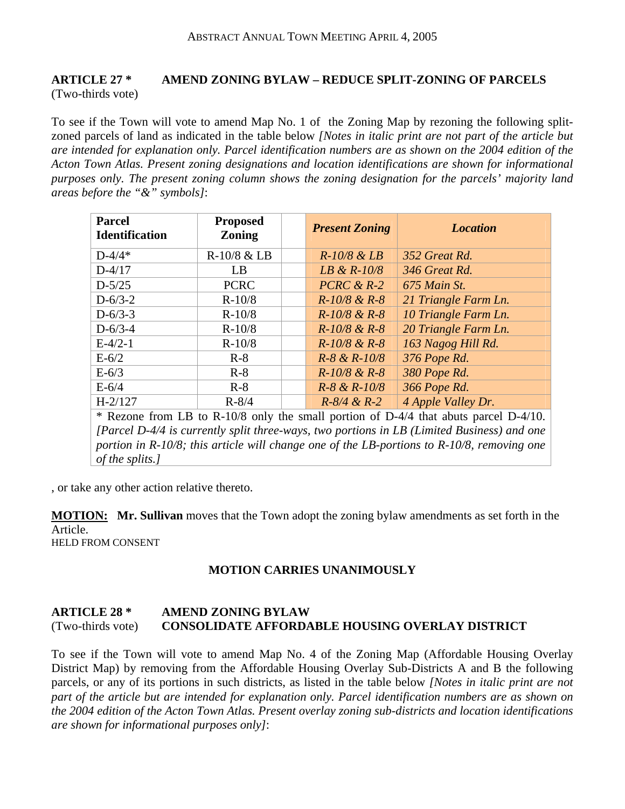# **ARTICLE 27 \* AMEND ZONING BYLAW – REDUCE SPLIT-ZONING OF PARCELS**  (Two-thirds vote)

To see if the Town will vote to amend Map No. 1 of the Zoning Map by rezoning the following splitzoned parcels of land as indicated in the table below *[Notes in italic print are not part of the article but are intended for explanation only. Parcel identification numbers are as shown on the 2004 edition of the Acton Town Atlas. Present zoning designations and location identifications are shown for informational purposes only. The present zoning column shows the zoning designation for the parcels' majority land areas before the "&" symbols]*:

| <b>Parcel</b><br><b>Identification</b> | <b>Proposed</b><br><b>Zoning</b> | <b>Present Zoning</b> | <b>Location</b>      |
|----------------------------------------|----------------------------------|-----------------------|----------------------|
| $D - 4/4*$                             | R-10/8 & LB                      | $R$ -10/8 & LB        | 352 Great Rd.        |
| $D-4/17$                               | LB                               | LB & $R$ -10/8        | 346 Great Rd.        |
| $D - 5/25$                             | <b>PCRC</b>                      | $PCRC & R-2$          | 675 Main St.         |
| $D - 6/3 - 2$                          | $R-10/8$                         | $R-10/8$ & $R-8$      | 21 Triangle Farm Ln. |
| $D - 6/3 - 3$                          | $R-10/8$                         | $R-10/8$ & $R-8$      | 10 Triangle Farm Ln. |
| $D - 6/3 - 4$                          | $R-10/8$                         | $R-10/8$ & $R-8$      | 20 Triangle Farm Ln. |
| $E-4/2-1$                              | $R-10/8$                         | $R-10/8$ & $R-8$      | 163 Nagog Hill Rd.   |
| $E-6/2$                                | $R-8$                            | $R-8 & R-10/8$        | 376 Pope Rd.         |
| $E-6/3$                                | $R-8$                            | $R-10/8$ & $R-8$      | 380 Pope Rd.         |
| $E-6/4$                                | $R-8$                            | $R-8 & R-10/8$        | 366 Pope Rd.         |
| $H-2/127$                              | $R - 8/4$                        | $R - 8/4 \& R - 2$    | 4 Apple Valley Dr.   |

\* Rezone from LB to R-10/8 only the small portion of D-4/4 that abuts parcel D-4/10. *[Parcel D-4/4 is currently split three-ways, two portions in LB (Limited Business) and one portion in R-10/8; this article will change one of the LB-portions to R-10/8, removing one of the splits.]*

, or take any other action relative thereto.

**MOTION: Mr. Sullivan** moves that the Town adopt the zoning bylaw amendments as set forth in the Article. HELD FROM CONSENT

# **MOTION CARRIES UNANIMOUSLY**

# **ARTICLE 28 \* AMEND ZONING BYLAW**  (Two-thirds vote) **CONSOLIDATE AFFORDABLE HOUSING OVERLAY DISTRICT**

To see if the Town will vote to amend Map No. 4 of the Zoning Map (Affordable Housing Overlay District Map) by removing from the Affordable Housing Overlay Sub-Districts A and B the following parcels, or any of its portions in such districts, as listed in the table below *[Notes in italic print are not part of the article but are intended for explanation only. Parcel identification numbers are as shown on the 2004 edition of the Acton Town Atlas. Present overlay zoning sub-districts and location identifications are shown for informational purposes only]*: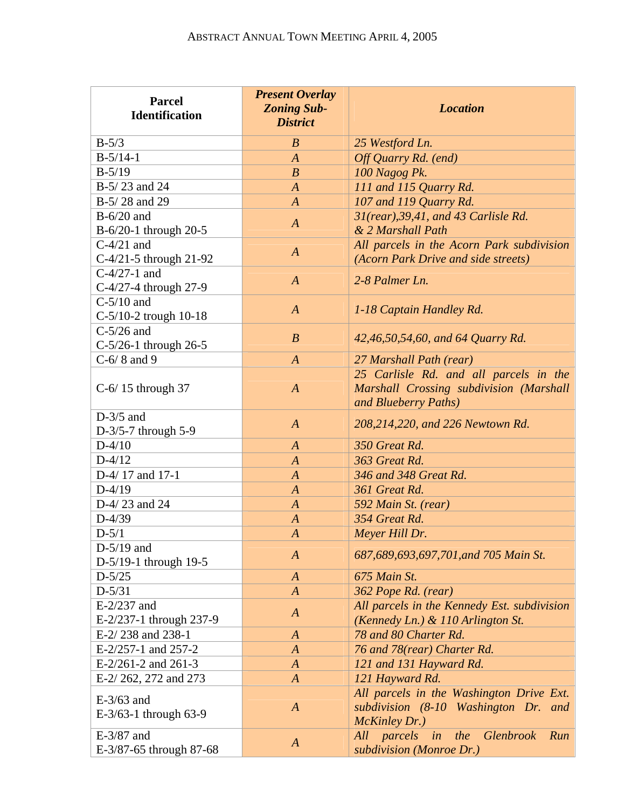| <b>Parcel</b><br><b>Identification</b> | <b>Present Overlay</b><br><b>Zoning Sub-</b><br><b>District</b> | <b>Location</b>                                                                                           |
|----------------------------------------|-----------------------------------------------------------------|-----------------------------------------------------------------------------------------------------------|
| $B-5/3$                                | B                                                               | 25 Westford Ln.                                                                                           |
| $B-5/14-1$                             | $\boldsymbol{A}$                                                | Off Quarry Rd. (end)                                                                                      |
| $B-5/19$                               | $\boldsymbol{B}$                                                | 100 Nagog Pk.                                                                                             |
| B-5/23 and 24                          | $\boldsymbol{A}$                                                | 111 and 115 Quarry Rd.                                                                                    |
| B-5/28 and 29                          | $\boldsymbol{A}$                                                | 107 and 119 Quarry Rd.                                                                                    |
| $B-6/20$ and                           | $\overline{A}$                                                  | 31(rear), 39, 41, and 43 Carlisle Rd.                                                                     |
| B-6/20-1 through 20-5                  |                                                                 | & 2 Marshall Path                                                                                         |
| $C-4/21$ and                           | $\boldsymbol{A}$                                                | All parcels in the Acorn Park subdivision                                                                 |
| $C-4/21-5$ through 21-92               |                                                                 | (Acorn Park Drive and side streets)                                                                       |
| $C-4/27-1$ and                         | $\boldsymbol{A}$                                                | 2-8 Palmer Ln.                                                                                            |
| C-4/27-4 through 27-9                  |                                                                 |                                                                                                           |
| $C-5/10$ and                           | $\boldsymbol{A}$                                                | 1-18 Captain Handley Rd.                                                                                  |
| C-5/10-2 trough 10-18                  |                                                                 |                                                                                                           |
| $C-5/26$ and                           | $\boldsymbol{B}$                                                | 42,46,50,54,60, and 64 Quarry Rd.                                                                         |
| $C-5/26-1$ through 26-5                |                                                                 |                                                                                                           |
| $C-6/8$ and 9                          | $\overline{A}$                                                  | 27 Marshall Path (rear)                                                                                   |
| $C-6/15$ through 37                    | $\overline{A}$                                                  | 25 Carlisle Rd. and all parcels in the<br>Marshall Crossing subdivision (Marshall<br>and Blueberry Paths) |
| $D-3/5$ and<br>D- $3/5$ -7 through 5-9 | $\overline{A}$                                                  | 208,214,220, and 226 Newtown Rd.                                                                          |
| $D-4/10$                               | $\boldsymbol{A}$                                                | 350 Great Rd.                                                                                             |
| $D-4/12$                               | $\boldsymbol{A}$                                                | 363 Great Rd.                                                                                             |
| D-4/17 and 17-1                        | $\boldsymbol{A}$                                                | 346 and 348 Great Rd.                                                                                     |
| $D-4/19$                               | $\boldsymbol{A}$                                                | 361 Great Rd.                                                                                             |
| D-4/23 and 24                          | $\boldsymbol{A}$                                                | 592 Main St. (rear)                                                                                       |
| $D-4/39$                               | $\boldsymbol{A}$                                                | 354 Great Rd.                                                                                             |
| $D-5/1$                                | $\boldsymbol{A}$                                                | Meyer Hill Dr.                                                                                            |
| $D-5/19$ and                           |                                                                 |                                                                                                           |
| D-5/19-1 through 19-5                  | $\boldsymbol{A}$                                                | 687,689,693,697,701, and 705 Main St.                                                                     |
| $D-5/25$                               | $\boldsymbol{A}$                                                | 675 Main St.                                                                                              |
| $D-5/31$                               | $\boldsymbol{A}$                                                | 362 Pope Rd. (rear)                                                                                       |
| $E-2/237$ and                          |                                                                 | All parcels in the Kennedy Est. subdivision                                                               |
| E-2/237-1 through 237-9                | $\boldsymbol{A}$                                                | (Kennedy Ln.) & 110 Arlington St.                                                                         |
| E-2/238 and 238-1                      | $\boldsymbol{A}$                                                | 78 and 80 Charter Rd.                                                                                     |
| E-2/257-1 and 257-2                    | $\boldsymbol{A}$                                                | 76 and 78(rear) Charter Rd.                                                                               |
| $E-2/261-2$ and 261-3                  | $\boldsymbol{A}$                                                | 121 and 131 Hayward Rd.                                                                                   |
| E-2/262, 272 and 273                   | $\boldsymbol{A}$                                                | 121 Hayward Rd.                                                                                           |
| $E-3/63$ and<br>E-3/63-1 through 63-9  | $\boldsymbol{A}$                                                | All parcels in the Washington Drive Ext.<br>subdivision (8-10 Washington Dr. and<br>McKinley Dr.)         |
| E-3/87 and<br>E-3/87-65 through 87-68  | $\boldsymbol{A}$                                                | parcels<br>Glenbrook<br>the<br>Run<br>All<br>in<br>subdivision (Monroe Dr.)                               |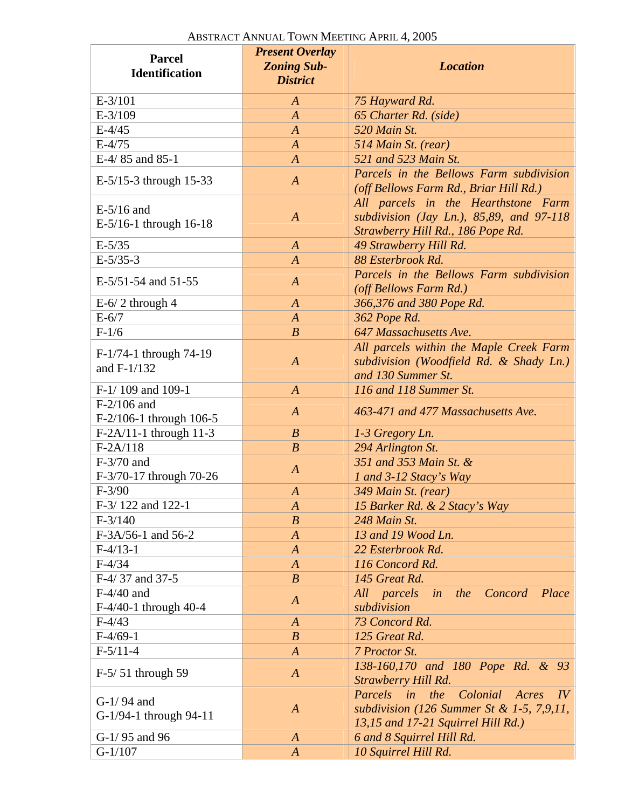| <b>Parcel</b><br><b>Identification</b>   | <b>Present Overlay</b><br><b>Zoning Sub-</b><br><b>District</b> | <b>Location</b>                                                                                                           |
|------------------------------------------|-----------------------------------------------------------------|---------------------------------------------------------------------------------------------------------------------------|
| $E-3/101$                                | A                                                               | 75 Hayward Rd.                                                                                                            |
| $E-3/109$                                | $\boldsymbol{A}$                                                | 65 Charter Rd. (side)                                                                                                     |
| $E - 4/45$                               | $\boldsymbol{A}$                                                | 520 Main St.                                                                                                              |
| $E-4/75$                                 | $\boldsymbol{A}$                                                | 514 Main St. (rear)                                                                                                       |
| E-4/85 and 85-1                          | $\overline{A}$                                                  | 521 and 523 Main St.                                                                                                      |
| E-5/15-3 through 15-33                   | $\boldsymbol{A}$                                                | Parcels in the Bellows Farm subdivision<br>(off Bellows Farm Rd., Briar Hill Rd.)                                         |
| $E-5/16$ and<br>E-5/16-1 through 16-18   | $\boldsymbol{A}$                                                | All parcels in the Hearthstone Farm<br>subdivision (Jay Ln.), $85,89$ , and $97-118$<br>Strawberry Hill Rd., 186 Pope Rd. |
| $E-5/35$                                 | $\boldsymbol{A}$                                                | 49 Strawberry Hill Rd.                                                                                                    |
| $E-5/35-3$                               | $\overline{A}$                                                  | 88 Esterbrook Rd.                                                                                                         |
| E-5/51-54 and 51-55                      | $\boldsymbol{A}$                                                | Parcels in the Bellows Farm subdivision<br>(off Bellows Farm Rd.)                                                         |
| $E-6/2$ through 4                        | $\boldsymbol{A}$                                                | 366,376 and 380 Pope Rd.                                                                                                  |
| $E-6/7$                                  | $\boldsymbol{A}$                                                | 362 Pope Rd.                                                                                                              |
| $F-1/6$                                  | $\boldsymbol{B}$                                                | 647 Massachusetts Ave.                                                                                                    |
| F-1/74-1 through 74-19<br>and F-1/132    | $\boldsymbol{A}$                                                | All parcels within the Maple Creek Farm<br>subdivision (Woodfield Rd. & Shady Ln.)<br>and 130 Summer St.                  |
| F-1/109 and 109-1                        | $\boldsymbol{A}$                                                | 116 and 118 Summer St.                                                                                                    |
| $F-2/106$ and<br>F-2/106-1 through 106-5 | $\boldsymbol{A}$                                                | 463-471 and 477 Massachusetts Ave.                                                                                        |
| F-2A/11-1 through 11-3                   | $\boldsymbol{B}$                                                | 1-3 Gregory Ln.                                                                                                           |
| $F-2A/118$                               | $\boldsymbol{B}$                                                | 294 Arlington St.                                                                                                         |
| $F-3/70$ and<br>F-3/70-17 through 70-26  | $\boldsymbol{A}$                                                | 351 and 353 Main St. &<br>1 and 3-12 Stacy's Way                                                                          |
| $F-3/90$                                 | $\boldsymbol{A}$                                                | 349 Main St. (rear)                                                                                                       |
| F-3/122 and 122-1                        | $\boldsymbol{A}$                                                | 15 Barker Rd. & 2 Stacy's Way                                                                                             |
| $F-3/140$                                | $\boldsymbol{B}$                                                | 248 Main St.                                                                                                              |
| F-3A/56-1 and 56-2                       | $\overline{A}$                                                  | 13 and 19 Wood Ln.                                                                                                        |
| $F-4/13-1$                               | $\boldsymbol{A}$                                                | 22 Esterbrook Rd.                                                                                                         |
| $F-4/34$                                 | $\boldsymbol{A}$                                                | 116 Concord Rd.                                                                                                           |
| F-4/37 and 37-5                          | $\boldsymbol{B}$                                                | 145 Great Rd.                                                                                                             |
| $F-4/40$ and                             | $\boldsymbol{A}$                                                | All parcels<br>Concord<br>Place<br>the<br>in                                                                              |
| $F-4/40-1$ through 40-4                  |                                                                 | subdivision                                                                                                               |
| $F-4/43$                                 | $\boldsymbol{A}$                                                | 73 Concord Rd.                                                                                                            |
| $F-4/69-1$                               | $\boldsymbol{B}$                                                | 125 Great Rd.                                                                                                             |
| $F-5/11-4$                               | $\boldsymbol{A}$                                                | 7 Proctor St.                                                                                                             |
| $F-5/51$ through 59                      | $\boldsymbol{A}$                                                | 138-160,170 and 180 Pope Rd. & 93<br>Strawberry Hill Rd.                                                                  |
| $G-1/94$ and<br>G-1/94-1 through 94-11   | $\boldsymbol{A}$                                                | Parcels in<br>the Colonial Acres IV<br>subdivision (126 Summer St & 1-5, 7,9,11,<br>13,15 and 17-21 Squirrel Hill Rd.)    |
| G-1/95 and 96                            | $\boldsymbol{A}$                                                | 6 and 8 Squirrel Hill Rd.                                                                                                 |
| $G-1/107$                                | $\boldsymbol{A}$                                                | 10 Squirrel Hill Rd.                                                                                                      |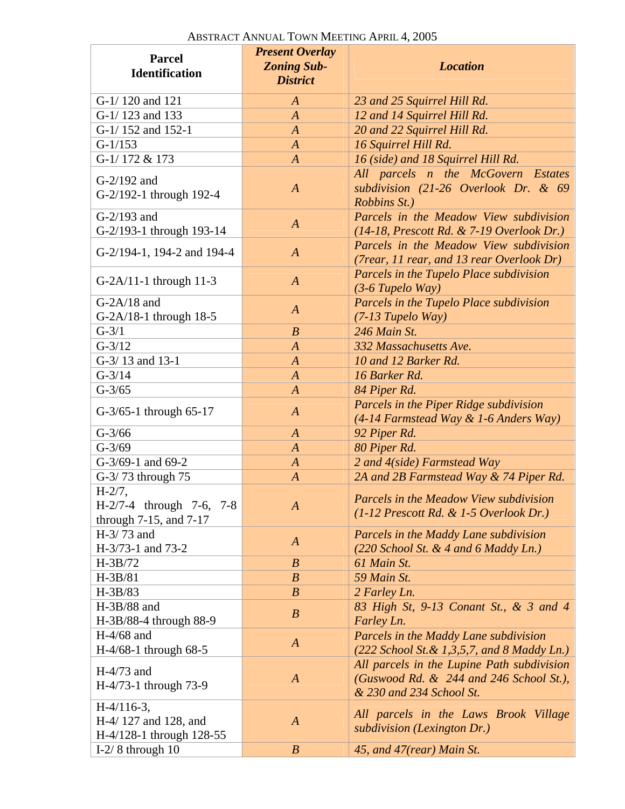| <b>Parcel</b><br><b>Identification</b>                              | <b>Present Overlay</b><br><b>Zoning Sub-</b><br><b>District</b> | <b>Location</b>                                                                                                   |
|---------------------------------------------------------------------|-----------------------------------------------------------------|-------------------------------------------------------------------------------------------------------------------|
| G-1/120 and 121                                                     | $\boldsymbol{A}$                                                | 23 and 25 Squirrel Hill Rd.                                                                                       |
| G-1/123 and 133                                                     | $\boldsymbol{A}$                                                | 12 and 14 Squirrel Hill Rd.                                                                                       |
| G-1/152 and 152-1                                                   | $\overline{A}$                                                  | 20 and 22 Squirrel Hill Rd.                                                                                       |
| $G-1/153$                                                           | $\boldsymbol{A}$                                                | 16 Squirrel Hill Rd.                                                                                              |
| G-1/172 & 173                                                       | $\boldsymbol{A}$                                                | 16 (side) and 18 Squirrel Hill Rd.                                                                                |
| $G-2/192$ and<br>G-2/192-1 through 192-4                            | $\overline{A}$                                                  | All parcels n the McGovern Estates<br>subdivision $(21-26$ Overlook Dr. & 69<br>Robbins St.)                      |
| $G-2/193$ and<br>G-2/193-1 through 193-14                           | $\boldsymbol{A}$                                                | Parcels in the Meadow View subdivision<br>$(14-18,$ Prescott Rd. & 7-19 Overlook Dr.)                             |
| G-2/194-1, 194-2 and 194-4                                          | $\boldsymbol{A}$                                                | Parcels in the Meadow View subdivision<br>(7rear, 11 rear, and 13 rear Overlook Dr)                               |
| $G-2A/11-1$ through 11-3                                            | $\boldsymbol{A}$                                                | Parcels in the Tupelo Place subdivision<br>$(3-6$ Tupelo Way)                                                     |
| $G-2A/18$ and<br>G-2A/18-1 through 18-5                             | $\overline{A}$                                                  | Parcels in the Tupelo Place subdivision<br>$(7-13$ Tupelo Way)                                                    |
| $G-3/1$                                                             | $\boldsymbol{B}$                                                | 246 Main St.                                                                                                      |
| $G-3/12$                                                            | $\boldsymbol{A}$                                                | 332 Massachusetts Ave.                                                                                            |
| G-3/13 and 13-1                                                     | $\boldsymbol{A}$                                                | 10 and 12 Barker Rd.                                                                                              |
| $G-3/14$                                                            | $\boldsymbol{A}$                                                | 16 Barker Rd.                                                                                                     |
| $G-3/65$                                                            | $\boldsymbol{A}$                                                | 84 Piper Rd.                                                                                                      |
| $G-3/65-1$ through 65-17                                            | $\boldsymbol{A}$                                                | Parcels in the Piper Ridge subdivision<br>(4-14 Farmstead Way & 1-6 Anders Way)                                   |
| $G-3/66$                                                            | $\boldsymbol{A}$                                                | 92 Piper Rd.                                                                                                      |
| $G-3/69$                                                            | $\boldsymbol{A}$                                                | 80 Piper Rd.                                                                                                      |
| G-3/69-1 and 69-2                                                   | $\boldsymbol{A}$                                                | 2 and 4(side) Farmstead Way                                                                                       |
| G-3/73 through 75                                                   | $\boldsymbol{A}$                                                | 2A and 2B Farmstead Way & 74 Piper Rd.                                                                            |
| $H-2/7,$<br>H-2/7-4 through 7-6, 7-8<br>through $7-15$ , and $7-17$ | $\boldsymbol{A}$                                                | Parcels in the Meadow View subdivision<br>$(1-12$ Prescott Rd. & 1-5 Overlook Dr.)                                |
| H-3/73 and<br>H-3/73-1 and 73-2                                     | $\boldsymbol{A}$                                                | Parcels in the Maddy Lane subdivision<br>$(220$ School St. & 4 and 6 Maddy Ln.)                                   |
| $H-3B/72$                                                           | $\boldsymbol{B}$                                                | 61 Main St.                                                                                                       |
| H-3B/81                                                             | $\boldsymbol{B}$                                                | 59 Main St.                                                                                                       |
| $H-3B/83$                                                           | $\boldsymbol{B}$                                                | 2 Farley Ln.                                                                                                      |
| $H-3B/88$ and                                                       |                                                                 | 83 High St, 9-13 Conant St., & 3 and 4                                                                            |
| H-3B/88-4 through 88-9                                              | $\boldsymbol{B}$                                                | Farley Ln.                                                                                                        |
| $H-4/68$ and<br>$H-4/68-1$ through 68-5                             | $\boldsymbol{A}$                                                | Parcels in the Maddy Lane subdivision<br>$(222$ School St. & 1,3,5,7, and 8 Maddy Ln.)                            |
| $H-4/73$ and<br>H-4/73-1 through 73-9                               | $\boldsymbol{A}$                                                | All parcels in the Lupine Path subdivision<br>(Guswood Rd. & 244 and 246 School St.),<br>& 230 and 234 School St. |
| $H-4/116-3$ ,<br>H-4/127 and 128, and<br>H-4/128-1 through 128-55   | $\boldsymbol{A}$                                                | All parcels in the Laws Brook Village<br>subdivision (Lexington Dr.)                                              |
| I-2/8 through $10$                                                  | $\boldsymbol{B}$                                                | 45, and 47(rear) Main St.                                                                                         |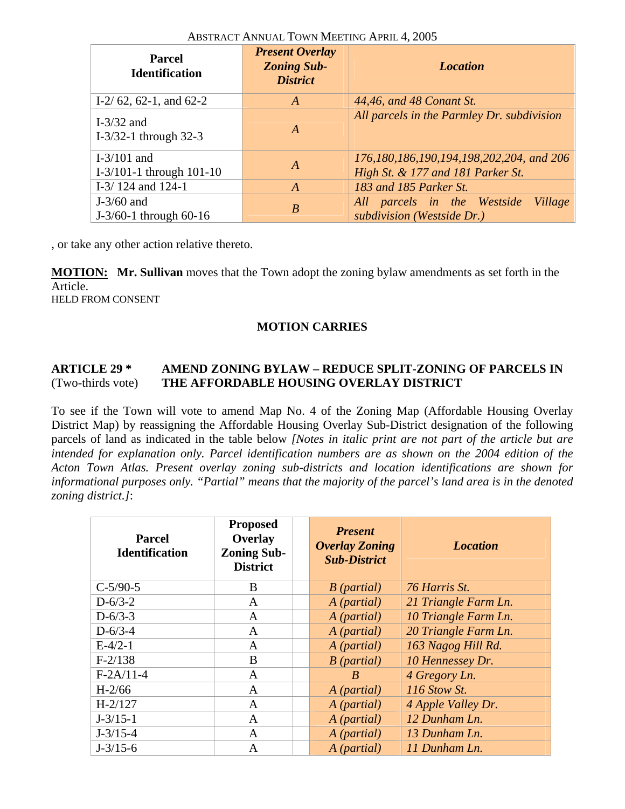| <b>Parcel</b><br><b>Identification</b>       | <b>Present Overlay</b><br><b>Zoning Sub-</b><br><b>District</b> | <b>Location</b>                                                               |
|----------------------------------------------|-----------------------------------------------------------------|-------------------------------------------------------------------------------|
| I-2/62, 62-1, and 62-2                       | $\overline{A}$                                                  | 44,46, and 48 Conant St.                                                      |
| I- $3/32$ and<br>$I-3/32-1$ through 32-3     | $\boldsymbol{A}$                                                | All parcels in the Parmley Dr. subdivision                                    |
| I- $3/101$ and<br>$I-3/101-1$ through 101-10 | A                                                               | 176,180,186,190,194,198,202,204, and 206<br>High St. & 177 and 181 Parker St. |
| I-3/124 and $124-1$                          | $\overline{A}$                                                  | 183 and 185 Parker St.                                                        |
| $J-3/60$ and<br>$J-3/60-1$ through 60-16     | $\boldsymbol{B}$                                                | All parcels in the Westside<br>Village<br>subdivision (Westside Dr.)          |

, or take any other action relative thereto.

**MOTION: Mr. Sullivan** moves that the Town adopt the zoning bylaw amendments as set forth in the Article. HELD FROM CONSENT

#### **MOTION CARRIES**

#### **ARTICLE 29 \* AMEND ZONING BYLAW – REDUCE SPLIT-ZONING OF PARCELS IN**  (Two-thirds vote) **THE AFFORDABLE HOUSING OVERLAY DISTRICT**

To see if the Town will vote to amend Map No. 4 of the Zoning Map (Affordable Housing Overlay District Map) by reassigning the Affordable Housing Overlay Sub-District designation of the following parcels of land as indicated in the table below *[Notes in italic print are not part of the article but are intended for explanation only. Parcel identification numbers are as shown on the 2004 edition of the Acton Town Atlas. Present overlay zoning sub-districts and location identifications are shown for informational purposes only. "Partial" means that the majority of the parcel's land area is in the denoted zoning district.]*:

| <b>Parcel</b><br><b>Identification</b> | <b>Proposed</b><br>Overlay<br><b>Zoning Sub-</b><br><b>District</b> | <b>Present</b><br><b>Overlay Zoning</b><br><b>Sub-District</b> | <b>Location</b>      |
|----------------------------------------|---------------------------------------------------------------------|----------------------------------------------------------------|----------------------|
| $C-5/90-5$                             | B                                                                   | $B$ (partial)                                                  | 76 Harris St.        |
| $D-6/3-2$                              | A                                                                   | A (partial)                                                    | 21 Triangle Farm Ln. |
| $D - 6/3 - 3$                          | A                                                                   | A (partial)                                                    | 10 Triangle Farm Ln. |
| $D-6/3-4$                              | A                                                                   | A (partial)                                                    | 20 Triangle Farm Ln. |
| $E-4/2-1$                              | A                                                                   | A (partial)                                                    | 163 Nagog Hill Rd.   |
| $F-2/138$                              | B                                                                   | $B$ (partial)                                                  | 10 Hennessey Dr.     |
| $F-2A/11-4$                            | A                                                                   | B                                                              | 4 Gregory Ln.        |
| $H-2/66$                               | $\mathbf{A}$                                                        | A (partial)                                                    | 116 Stow St.         |
| $H-2/127$                              | A                                                                   | A (partial)                                                    | 4 Apple Valley Dr.   |
| $J - 3/15 - 1$                         | A                                                                   | A (partial)                                                    | 12 Dunham Ln.        |
| $J - 3/15 - 4$                         | A                                                                   | A (partial)                                                    | 13 Dunham Ln.        |
| $J - 3/15 - 6$                         | A                                                                   | A (partial)                                                    | 11 Dunham Ln.        |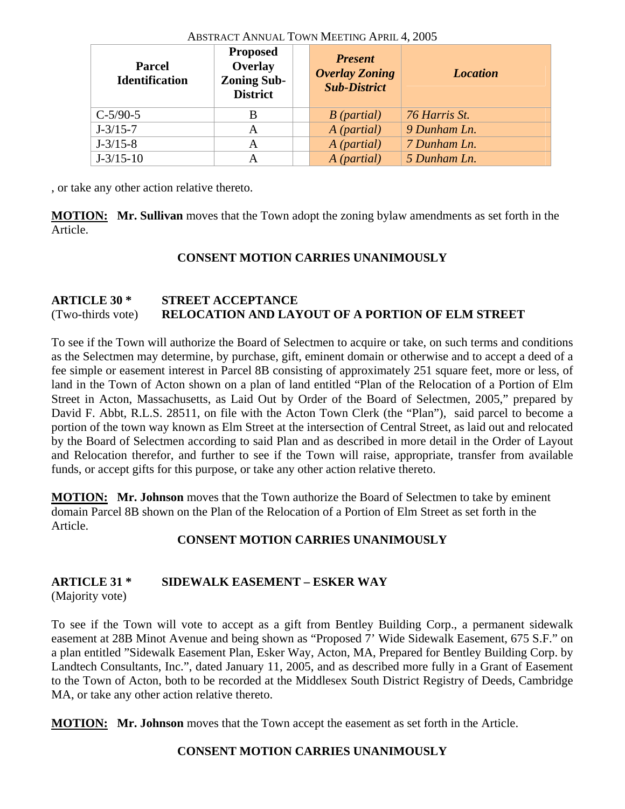| <b>Parcel</b><br><b>Identification</b> | <b>Proposed</b><br>Overlay<br><b>Zoning Sub-</b><br><b>District</b> | <b>Present</b><br><b>Overlay Zoning</b><br><b>Sub-District</b> | <b>Location</b> |
|----------------------------------------|---------------------------------------------------------------------|----------------------------------------------------------------|-----------------|
| $C-5/90-5$                             | В                                                                   | $B$ (partial)                                                  | 76 Harris St.   |
| $J - 3/15 - 7$                         | A                                                                   | A (partial)                                                    | 9 Dunham Ln.    |
| $J - 3/15 - 8$                         | Α                                                                   | A (partial)                                                    | 7 Dunham Ln.    |
| $J - 3/15 - 10$                        | Α                                                                   | A (partial)                                                    | 5 Dunham Ln.    |

, or take any other action relative thereto.

**MOTION: Mr. Sullivan** moves that the Town adopt the zoning bylaw amendments as set forth in the Article.

# **CONSENT MOTION CARRIES UNANIMOUSLY**

# **ARTICLE 30 \* STREET ACCEPTANCE**  (Two-thirds vote) **RELOCATION AND LAYOUT OF A PORTION OF ELM STREET**

To see if the Town will authorize the Board of Selectmen to acquire or take, on such terms and conditions as the Selectmen may determine, by purchase, gift, eminent domain or otherwise and to accept a deed of a fee simple or easement interest in Parcel 8B consisting of approximately 251 square feet, more or less, of land in the Town of Acton shown on a plan of land entitled "Plan of the Relocation of a Portion of Elm Street in Acton, Massachusetts, as Laid Out by Order of the Board of Selectmen, 2005," prepared by David F. Abbt, R.L.S. 28511, on file with the Acton Town Clerk (the "Plan"), said parcel to become a portion of the town way known as Elm Street at the intersection of Central Street, as laid out and relocated by the Board of Selectmen according to said Plan and as described in more detail in the Order of Layout and Relocation therefor, and further to see if the Town will raise, appropriate, transfer from available funds, or accept gifts for this purpose, or take any other action relative thereto.

**MOTION: Mr. Johnson** moves that the Town authorize the Board of Selectmen to take by eminent domain Parcel 8B shown on the Plan of the Relocation of a Portion of Elm Street as set forth in the Article.

# **CONSENT MOTION CARRIES UNANIMOUSLY**

# **ARTICLE 31 \* SIDEWALK EASEMENT – ESKER WAY**

(Majority vote)

To see if the Town will vote to accept as a gift from Bentley Building Corp., a permanent sidewalk easement at 28B Minot Avenue and being shown as "Proposed 7' Wide Sidewalk Easement, 675 S.F." on a plan entitled "Sidewalk Easement Plan, Esker Way, Acton, MA, Prepared for Bentley Building Corp. by Landtech Consultants, Inc.", dated January 11, 2005, and as described more fully in a Grant of Easement to the Town of Acton, both to be recorded at the Middlesex South District Registry of Deeds, Cambridge MA, or take any other action relative thereto.

**MOTION: Mr. Johnson** moves that the Town accept the easement as set forth in the Article.

# **CONSENT MOTION CARRIES UNANIMOUSLY**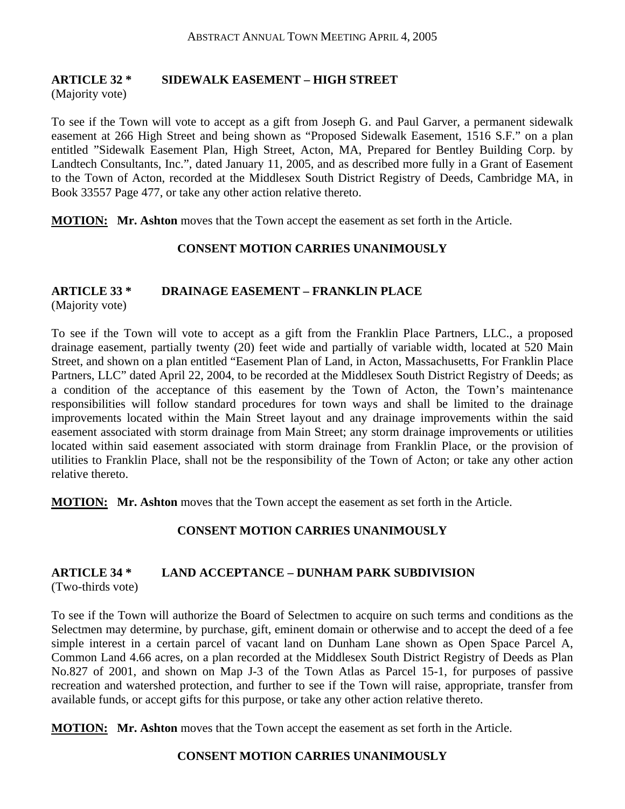# **ARTICLE 32 \* SIDEWALK EASEMENT – HIGH STREET**

(Majority vote)

To see if the Town will vote to accept as a gift from Joseph G. and Paul Garver, a permanent sidewalk easement at 266 High Street and being shown as "Proposed Sidewalk Easement, 1516 S.F." on a plan entitled "Sidewalk Easement Plan, High Street, Acton, MA, Prepared for Bentley Building Corp. by Landtech Consultants, Inc.", dated January 11, 2005, and as described more fully in a Grant of Easement to the Town of Acton, recorded at the Middlesex South District Registry of Deeds, Cambridge MA, in Book 33557 Page 477, or take any other action relative thereto.

**MOTION: Mr. Ashton** moves that the Town accept the easement as set forth in the Article.

#### **CONSENT MOTION CARRIES UNANIMOUSLY**

#### **ARTICLE 33 \* DRAINAGE EASEMENT – FRANKLIN PLACE**

(Majority vote)

To see if the Town will vote to accept as a gift from the Franklin Place Partners, LLC., a proposed drainage easement, partially twenty (20) feet wide and partially of variable width, located at 520 Main Street, and shown on a plan entitled "Easement Plan of Land, in Acton, Massachusetts, For Franklin Place Partners, LLC" dated April 22, 2004, to be recorded at the Middlesex South District Registry of Deeds; as a condition of the acceptance of this easement by the Town of Acton, the Town's maintenance responsibilities will follow standard procedures for town ways and shall be limited to the drainage improvements located within the Main Street layout and any drainage improvements within the said easement associated with storm drainage from Main Street; any storm drainage improvements or utilities located within said easement associated with storm drainage from Franklin Place, or the provision of utilities to Franklin Place, shall not be the responsibility of the Town of Acton; or take any other action relative thereto.

**MOTION: Mr. Ashton** moves that the Town accept the easement as set forth in the Article.

# **CONSENT MOTION CARRIES UNANIMOUSLY**

#### **ARTICLE 34 \* LAND ACCEPTANCE – DUNHAM PARK SUBDIVISION**  (Two-thirds vote)

To see if the Town will authorize the Board of Selectmen to acquire on such terms and conditions as the Selectmen may determine, by purchase, gift, eminent domain or otherwise and to accept the deed of a fee simple interest in a certain parcel of vacant land on Dunham Lane shown as Open Space Parcel A, Common Land 4.66 acres, on a plan recorded at the Middlesex South District Registry of Deeds as Plan No.827 of 2001, and shown on Map J-3 of the Town Atlas as Parcel 15-1, for purposes of passive recreation and watershed protection, and further to see if the Town will raise, appropriate, transfer from available funds, or accept gifts for this purpose, or take any other action relative thereto.

**MOTION: Mr. Ashton** moves that the Town accept the easement as set forth in the Article.

# **CONSENT MOTION CARRIES UNANIMOUSLY**